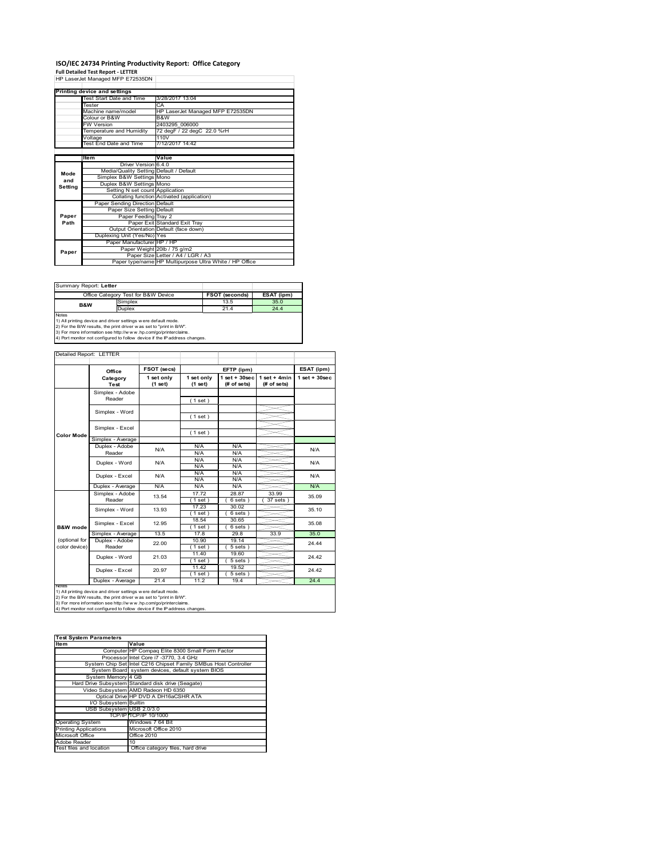# **ISO/IEC 24734 Printing Productivity Report: Office Category<br>Full Detailed Test Report - LETTER<br>HP LaserJet Managed MFP E72535DN |**

|         | Printing device and settings            |                                                         |  |
|---------|-----------------------------------------|---------------------------------------------------------|--|
|         | <b>Test Start Date and Time</b>         | 3/28/2017 13:04                                         |  |
|         | Tester                                  | CA                                                      |  |
|         | Machine name/model                      | HP LaserJet Managed MFP E72535DN                        |  |
|         | Colour or B&W                           | B&W                                                     |  |
|         | <b>FW Version</b>                       | 2403295 006000                                          |  |
|         | Temperature and Humidity                | 72 degF / 22 degC 22.0 %rH                              |  |
|         | Voltage                                 | 110V                                                    |  |
|         | Test End Date and Time                  | 7/12/2017 14:42                                         |  |
|         |                                         |                                                         |  |
|         | Item                                    | Value                                                   |  |
|         | Driver Version 6.4.0                    |                                                         |  |
| Mode    | Media/Quality Setting Default / Default |                                                         |  |
| and     | Simplex B&W Settings Mono               |                                                         |  |
| Setting | Duplex B&W Settings Mono                |                                                         |  |
|         | Setting N set count Application         |                                                         |  |
|         |                                         | Collating function Activated (application)              |  |
|         | Paper Sending Direction Default         |                                                         |  |
|         | Paper Size Setting Default              |                                                         |  |
| Paper   | Paper Feeding Tray 2                    |                                                         |  |
| Path    |                                         | Paper Exit Standard Exit Tray                           |  |
|         |                                         | Output Orientation Default (face down)                  |  |
|         | Duplexing Unit (Yes/No) Yes             |                                                         |  |
|         | Paper Manufacturer HP / HP              |                                                         |  |
| Paper   |                                         | Paper Weight 20lb / 75 g/m2                             |  |
|         |                                         | Paper Size Letter / A4 / LGR / A3                       |  |
|         |                                         | Paper type/name HP Multipurpose Ultra White / HP Office |  |

Summary Report: **Letter**

|                                                               | Office Category Test for B&W Device | <b>FSOT (seconds)</b> | ESAT (ipm) |  |  |
|---------------------------------------------------------------|-------------------------------------|-----------------------|------------|--|--|
| <b>B&amp;W</b>                                                | Simplex                             | 13.5                  | 35.0       |  |  |
|                                                               | Duplex                              | 21.4                  | 24.4       |  |  |
| <b>Notes</b>                                                  |                                     |                       |            |  |  |
| 1) All printing device and driver settings were default mode. |                                     |                       |            |  |  |

1) All printing device and driver settings were default mode.<br>2) For the B/W results, the print driver was set to "print in B/W".<br>3) For more information see http://www.hp.com/go/printerclaims.<br>4) Port monitor not configur

#### Detailed Report: LETTER

|                                | Office                          | FSOT (secs)           |                       | EFTP (ipm)                        |                               | ESAT (ipm)         |
|--------------------------------|---------------------------------|-----------------------|-----------------------|-----------------------------------|-------------------------------|--------------------|
|                                | Category<br>Test                | 1 set only<br>(1 set) | 1 set only<br>(1 set) | $1$ set + $30$ sec<br>(# of sets) | $1$ set + 4min<br>(# of sets) | $1$ set + $30$ sec |
|                                | Simplex - Adobe<br>Reader       |                       | (1 set)               |                                   |                               |                    |
|                                | Simplex - Word                  |                       | (1 set)               |                                   |                               |                    |
| <b>Color Mode</b>              | Simplex - Excel                 |                       | (1 set)               |                                   |                               |                    |
|                                | Simplex - Average               |                       |                       |                                   |                               |                    |
|                                | Duplex - Adobe<br>N/A<br>Reader | N/A<br>N/A            | N/A<br>N/A            |                                   | N/A                           |                    |
|                                | Duplex - Word                   | N/A                   | N/A<br>N/A            | N/A<br>N/A                        |                               | N/A                |
|                                | Duplex - Excel                  | N/A                   | N/A<br>N/A            | N/A<br>N/A                        |                               | N/A                |
|                                | Duplex - Average                | N/A                   | N/A                   | N/A                               |                               | N/A                |
|                                | Simplex - Adobe<br>Reader       | 13.54                 | 17.72<br>$1$ set $)$  | 28.87<br>6 sets 1                 | 33.99<br>37 sets              | 35.09              |
|                                | Simplex - Word                  | 13.93                 | 17.23<br>[1 set ]     | 30.02<br>6 sets)                  |                               | 35.10              |
| <b>B&amp;W</b> mode            | Simplex - Excel                 | 12.95                 | 18.54<br>(1 set )     | 30.65<br>6 sets)                  |                               | 35.08              |
|                                | Simplex - Average               | 13.5                  | 17.8                  | 29.8                              | 33.9                          | 35.0               |
| (optional for<br>color device) | Duplex - Adobe<br>Reader        | 22.00                 | 10.90<br>$1$ set)     | 19.14<br>$5 sets$ )               |                               | 24.44              |
|                                | Duplex - Word                   | 21.03                 | 11.40<br>$1$ set)     | 19.60<br>5 sets)                  |                               | 24.42              |
|                                | Duplex - Excel                  | 20.97                 | 11.42<br>$1$ set)     | 19.52<br>$5 sets$ )               |                               | 24.42              |
| <b>NATAP</b>                   | Duplex - Average                | 21.4                  | 11.2                  | 19.4                              |                               | 24.4               |

Ī

Notes<br>1) All printing device and driver settings were default mode.<br>2) For the B/W results, the print driver was set to "print in B/W".<br>3) For more information see http://www.hp.com/go/printerclaims.<br>4) Por more informati

| <b>Test System Parameters</b> |                                                                 |  |  |
|-------------------------------|-----------------------------------------------------------------|--|--|
| <b>Item</b>                   | Value                                                           |  |  |
|                               | Computer HP Compaq Elite 8300 Small Form Factor                 |  |  |
|                               | Processor Intel Core i7 -3770, 3.4 GHz                          |  |  |
|                               | System Chip Set Intel C216 Chipset Family SMBus Host Controller |  |  |
|                               | System Board system devices, default system BIOS                |  |  |
| System Memory 4 GB            |                                                                 |  |  |
|                               | Hard Drive Subsystem Standard disk drive (Seagate)              |  |  |
|                               | Video Subsystem AMD Radeon HD 6350                              |  |  |
|                               | Optical Drive HP DVD A DH16aCSHR ATA                            |  |  |
| I/O Subsystem Builtin         |                                                                 |  |  |
| USB Subsystem USB 2.0/3.0     |                                                                 |  |  |
|                               | TCP/IP TCP/IP 10/1000                                           |  |  |
| <b>Operating System</b>       | Windows 7 64 Bit                                                |  |  |
| <b>Printing Applications</b>  | Microsoft Office 2010                                           |  |  |
| Microsoft Office              | <b>Office 2010</b>                                              |  |  |
| Adobe Reader                  | 10                                                              |  |  |
| Test files and location       | Office category files, hard drive                               |  |  |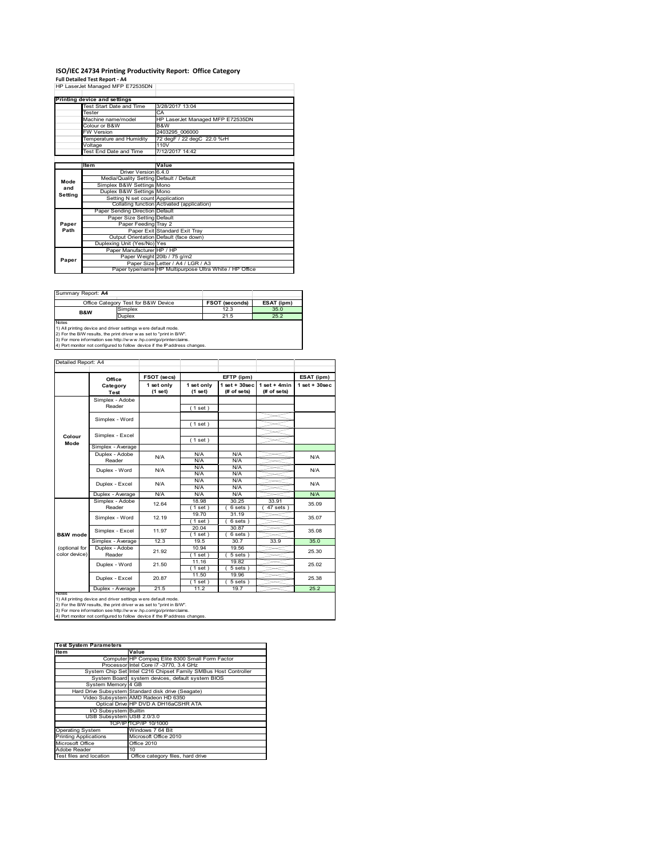# **ISO/IEC 24734 Printing Productivity Report: Office Category<br>Full Detailed Test Report - A4<br>HP LaserJet Managed MFP E72535DN |**

|         | HE Laselvel Managed MFF E72333DN        |                                                         |
|---------|-----------------------------------------|---------------------------------------------------------|
|         |                                         |                                                         |
|         | Printing device and settings            |                                                         |
|         | Test Start Date and Time                | 3/28/2017 13:04                                         |
|         | Tester                                  | CA                                                      |
|         | Machine name/model                      | HP LaserJet Managed MFP E72535DN                        |
|         | Colour or B&W                           | B&W                                                     |
|         | <b>FW Version</b>                       | 2403295 006000                                          |
|         | Temperature and Humidity                | 72 degF / 22 degC 22.0 %rH                              |
|         | Voltage                                 | 110V                                                    |
|         | Test End Date and Time                  | 7/12/2017 14:42                                         |
|         |                                         |                                                         |
|         | Item                                    | Value                                                   |
|         | Driver Version 6.4.0                    |                                                         |
| Mode    | Media/Quality Setting Default / Default |                                                         |
| and     | Simplex B&W Settings Mono               |                                                         |
| Setting | Duplex B&W Settings Mono                |                                                         |
|         | Setting N set count Application         |                                                         |
|         |                                         | Collating function Activated (application)              |
|         | Paper Sending Direction Default         |                                                         |
|         | Paper Size Setting Default              |                                                         |
| Paper   | Paper Feeding Tray 2                    |                                                         |
| Path    |                                         | Paper Exit Standard Exit Tray                           |
|         |                                         | Output Orientation Default (face down)                  |
|         | Duplexing Unit (Yes/No) Yes             |                                                         |
|         | Paper Manufacturer HP / HP              |                                                         |
| Paper   |                                         | Paper Weight 20lb / 75 g/m2                             |
|         |                                         | Paper Size Letter / A4 / LGR / A3                       |
|         |                                         | Paper type/name HP Multipurpose Ultra White / HP Office |

| Summary Report: A4                                            |                                                                     |                |            |  |  |  |
|---------------------------------------------------------------|---------------------------------------------------------------------|----------------|------------|--|--|--|
|                                                               | Office Category Test for B&W Device                                 | FSOT (seconds) | ESAT (ipm) |  |  |  |
| <b>B&amp;W</b>                                                | Simplex                                                             | 12.3           | 35.0       |  |  |  |
|                                                               | <b>Duplex</b>                                                       | 21.5           | 25.2       |  |  |  |
| <b>Notes</b>                                                  |                                                                     |                |            |  |  |  |
| 1) All printing device and driver settings were default mode. |                                                                     |                |            |  |  |  |
|                                                               | 2) For the B/W results, the print driver was set to "print in B/W". |                |            |  |  |  |

2) For the B/W results, the print driver w as set to "print in B/W".<br>3) For more information see http://w w w.hp.com/go/printerclaims.<br>4) Port monitor not configured to follow device if the IP address changes.

|                     | Office            | FSOT (secs)           |                       | EFTP (ipm)                     |                                |                    |
|---------------------|-------------------|-----------------------|-----------------------|--------------------------------|--------------------------------|--------------------|
|                     | Category<br>Test  | 1 set only<br>(1 set) | 1 set only<br>(1 set) | $1$ set + 30sec<br>(# of sets) | $1 set + 4 min$<br>(# of sets) | $1$ set + $30$ sec |
|                     | Simplex - Adobe   |                       |                       |                                |                                |                    |
|                     | Reader            |                       | (1 set)               |                                |                                |                    |
|                     |                   |                       |                       |                                |                                |                    |
|                     | Simplex - Word    |                       | (1 set)               |                                |                                |                    |
|                     | Simplex - Excel   |                       |                       |                                |                                |                    |
| Colour<br>Mode      |                   |                       | (1 set)               |                                |                                |                    |
|                     | Simplex - Average |                       |                       |                                |                                |                    |
|                     | Duplex - Adobe    | N/A                   | N/A                   | N/A                            |                                | N/A                |
|                     | Reader            |                       | N/A                   | N/A                            |                                |                    |
|                     | Duplex - Word     | N/A                   | N/A                   | N/A                            |                                | N/A                |
|                     |                   |                       | N/A                   | N/A                            |                                |                    |
|                     | Duplex - Excel    | N/A                   | N/A                   | N/A                            |                                | N/A                |
|                     |                   |                       | N/A                   | N/A                            |                                |                    |
|                     | Duplex - Average  | N/A                   | N/A                   | N/A                            |                                | N/A                |
|                     | Simplex - Adobe   | 12.64                 | 18.98                 | 30.25                          | 33.91                          | 35.09              |
|                     | Reader            |                       | $1$ set)              | 6 sets                         | 47 sets                        |                    |
|                     | Simplex - Word    | 12.19                 | 19.70                 | 31.19                          |                                | 35.07              |
|                     |                   |                       | (1 set)               | $6 sets$ )                     |                                |                    |
|                     | Simplex - Excel   | 11.97                 | 20.04                 | 30.87                          |                                | 35.08              |
| <b>B&amp;W</b> mode |                   |                       | (1 set )              | $6 sets$ )                     |                                |                    |
|                     | Simplex - Average | 12.3                  | 19.5                  | 30.7                           | 33.9                           | 35.0               |
| (optional for       | Duplex - Adobe    | 21.92                 | 10.94                 | 19.56                          |                                | 25.30              |
| color device)       | Reader            |                       | (1 set)               | 5 sets)                        |                                |                    |
|                     | Duplex - Word     | 21.50                 | 11.16                 | 19.82                          |                                | 25.02              |
|                     |                   |                       | (1 set)               | 5 sets)                        |                                |                    |
|                     | Duplex - Excel    | 20.87                 | 11.50                 | 19.96                          |                                | 25.38              |
|                     |                   |                       | (1 set )              | $5 sets$ )                     |                                |                    |
| <b>IVOIES</b>       | Duplex - Average  | 21.5                  | 11.2                  | 19.7                           |                                | 25.2               |

| <b>Test System Parameters</b> |                                                                 |  |  |
|-------------------------------|-----------------------------------------------------------------|--|--|
| ltem                          | Value                                                           |  |  |
|                               | Computer HP Compaq Elite 8300 Small Form Factor                 |  |  |
|                               | Processor Intel Core i7 -3770, 3.4 GHz                          |  |  |
|                               | System Chip Set Intel C216 Chipset Family SMBus Host Controller |  |  |
|                               | System Board system devices, default system BIOS                |  |  |
| System Memory 4 GB            |                                                                 |  |  |
|                               | Hard Drive Subsystem Standard disk drive (Seagate)              |  |  |
|                               | Video Subsystem AMD Radeon HD 6350                              |  |  |
|                               | Optical Drive HP DVD A DH16aCSHR ATA                            |  |  |
| I/O Subsystem Builtin         |                                                                 |  |  |
| USB Subsystem USB 2.0/3.0     |                                                                 |  |  |
|                               | TCP/IPITCP/IP 10/1000                                           |  |  |
| <b>Operating System</b>       | Windows 7 64 Bit                                                |  |  |
| <b>Printing Applications</b>  | Microsoft Office 2010                                           |  |  |
| Microsoft Office              | Office 2010                                                     |  |  |
| Adobe Reader                  | 10                                                              |  |  |
| Test files and location       | Office category files, hard drive                               |  |  |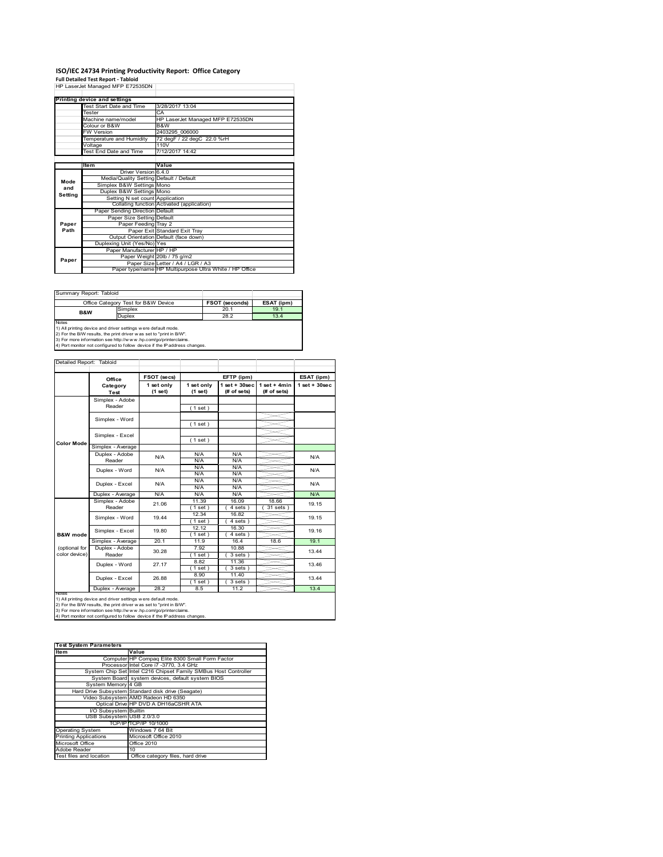# **ISO/IEC 24734 Printing Productivity Report: Office Category<br>Full Detailed Test Report - Tabloid<br>HP LaserJet Managed MFP E72535DN |**

|         | HP Laserjet Manaded MFP E72535DN        |                                                         |
|---------|-----------------------------------------|---------------------------------------------------------|
|         |                                         |                                                         |
|         | Printing device and settings            |                                                         |
|         | Test Start Date and Time                | 3/28/2017 13:04                                         |
|         | Tester                                  | CA                                                      |
|         | Machine name/model                      | HP LaserJet Managed MFP E72535DN                        |
|         | Colour or B&W                           | B&W                                                     |
|         | <b>FW Version</b>                       | 2403295 006000                                          |
|         | Temperature and Humidity                | 72 degF / 22 degC 22.0 %rH                              |
|         | Voltage                                 | 110V                                                    |
|         | Test End Date and Time                  | 7/12/2017 14:42                                         |
|         |                                         |                                                         |
|         | Item                                    | Value                                                   |
|         | Driver Version 6.4.0                    |                                                         |
| Mode    | Media/Quality Setting Default / Default |                                                         |
| and     | Simplex B&W Settings Mono               |                                                         |
| Setting | Duplex B&W Settings Mono                |                                                         |
|         | Setting N set count Application         |                                                         |
|         |                                         | Collating function Activated (application)              |
|         | Paper Sending Direction Default         |                                                         |
|         | Paper Size Setting Default              |                                                         |
| Paper   | Paper Feeding Tray 2                    |                                                         |
| Path    |                                         | Paper Exit Standard Exit Tray                           |
|         |                                         | Output Orientation Default (face down)                  |
|         | Duplexing Unit (Yes/No) Yes             |                                                         |
|         | Paper Manufacturer HP / HP              |                                                         |
| Paper   |                                         | Paper Weight 20lb / 75 g/m2                             |
|         |                                         | Paper Size Letter / A4 / LGR / A3                       |
|         |                                         | Paper type/name HP Multipurpose Ultra White / HP Office |

| Summary Report: Tabloid                                       |                                                                     |                |            |  |  |  |
|---------------------------------------------------------------|---------------------------------------------------------------------|----------------|------------|--|--|--|
|                                                               | Office Category Test for B&W Device                                 | FSOT (seconds) | ESAT (ipm) |  |  |  |
| <b>B&amp;W</b>                                                | Simplex                                                             | 20.1           | 19.1       |  |  |  |
|                                                               | <b>Duplex</b>                                                       | 28.2           | 13.4       |  |  |  |
| <b>Notes</b>                                                  |                                                                     |                |            |  |  |  |
| 1) All printing device and driver settings were default mode. |                                                                     |                |            |  |  |  |
|                                                               | 2) For the B/W results, the print driver was set to "print in B/W". |                |            |  |  |  |

2) For the B/W results, the print driver w as set to "print in B/W".<br>3) For more information see http://w w w.hp.com/go/printerclaims.<br>4) Port monitor not configured to follow device if the IP address changes.

|                     | Office                  | FSOT (secs)           |                       | EFTP (ipm)                        |                                | ESAT (ipm)         |
|---------------------|-------------------------|-----------------------|-----------------------|-----------------------------------|--------------------------------|--------------------|
|                     | Category<br><b>Test</b> | 1 set only<br>(1 set) | 1 set only<br>(1 set) | $1$ set + $30$ sec<br>(# of sets) | $1 set + 4 min$<br>(# of sets) | $1$ set + $30$ sec |
|                     | Simplex - Adobe         |                       |                       |                                   |                                |                    |
|                     | Reader                  |                       | (1 set)               |                                   |                                |                    |
|                     |                         |                       |                       |                                   |                                |                    |
|                     | Simplex - Word          |                       | (1 set)               |                                   |                                |                    |
|                     | Simplex - Excel         |                       |                       |                                   |                                |                    |
| <b>Color Mode</b>   |                         |                       | (1 set)               |                                   |                                |                    |
|                     | Simplex - Average       |                       |                       |                                   |                                |                    |
|                     | Duplex - Adobe          | N/A                   | N/A                   | N/A                               |                                | N/A                |
|                     | Reader                  |                       | N/A                   | N/A                               |                                |                    |
|                     | Duplex - Word           | N/A                   | N/A                   | N/A                               |                                | N/A                |
|                     |                         |                       | N/A                   | N/A                               |                                |                    |
|                     | Duplex - Excel          | N/A                   | N/A<br>N/A            | N/A<br>N/A                        |                                | N/A                |
|                     | Duplex - Average        | N/A                   | N/A                   | N/A                               |                                | N/A                |
|                     | Simplex - Adobe         |                       | 11.39                 | 16.09                             | 18.66                          |                    |
|                     | Reader                  | 21.06                 | (1 set)               | $\overline{4}$ sets)              | $31$ sets $)$                  | 19.15              |
|                     | Simplex - Word          | 19.44                 | 12.34                 | 16.82                             |                                | 19.15              |
|                     |                         |                       | (1 set )              | $\overline{4}$ sets)              |                                |                    |
|                     | Simplex - Excel         | 19.80                 | 12.12                 | 16.30                             |                                | 19.16              |
| <b>B&amp;W</b> mode |                         |                       | (1 set)               | 4 sets)                           |                                |                    |
|                     | Simplex - Average       | 20.1                  | 11.9                  | 16.4                              | 18.6                           | 19.1               |
| (optional for       | Duplex - Adobe          | 30.28                 | 7.92                  | 10.88                             |                                | 13.44              |
| color device)       | Reader                  |                       | $1$ set)              | $3 sets$ )                        |                                |                    |
|                     | Duplex - Word           | 27.17                 | 8.82                  | 11.36                             |                                | 13.46              |
|                     |                         |                       | (1 set)               | $3 sets$ )                        |                                |                    |
|                     | Duplex - Excel          | 26.88                 | 8.90                  | 11.40                             |                                | 13.44              |
|                     |                         |                       | $1$ set)              | $3 sets$ )                        |                                |                    |
| <b>IVOIES</b>       | Duplex - Average        | 28.2                  | 8.5                   | 11.2                              |                                | 13.4               |

| <b>Test System Parameters</b>                                   |  |  |  |
|-----------------------------------------------------------------|--|--|--|
| Value                                                           |  |  |  |
| Computer HP Compaq Elite 8300 Small Form Factor                 |  |  |  |
| Processor Intel Core i7 -3770, 3.4 GHz                          |  |  |  |
| System Chip Set Intel C216 Chipset Family SMBus Host Controller |  |  |  |
| System Board system devices, default system BIOS                |  |  |  |
| System Memory 4 GB                                              |  |  |  |
| Hard Drive Subsystem Standard disk drive (Seagate)              |  |  |  |
| Video Subsystem AMD Radeon HD 6350                              |  |  |  |
| Optical Drive HP DVD A DH16aCSHR ATA                            |  |  |  |
| I/O Subsystem Builtin                                           |  |  |  |
| USB Subsystem USB 2.0/3.0                                       |  |  |  |
| TCP/IPITCP/IP 10/1000                                           |  |  |  |
| Windows 7 64 Bit                                                |  |  |  |
| Microsoft Office 2010                                           |  |  |  |
| Office 2010                                                     |  |  |  |
| 10                                                              |  |  |  |
| Office category files, hard drive                               |  |  |  |
|                                                                 |  |  |  |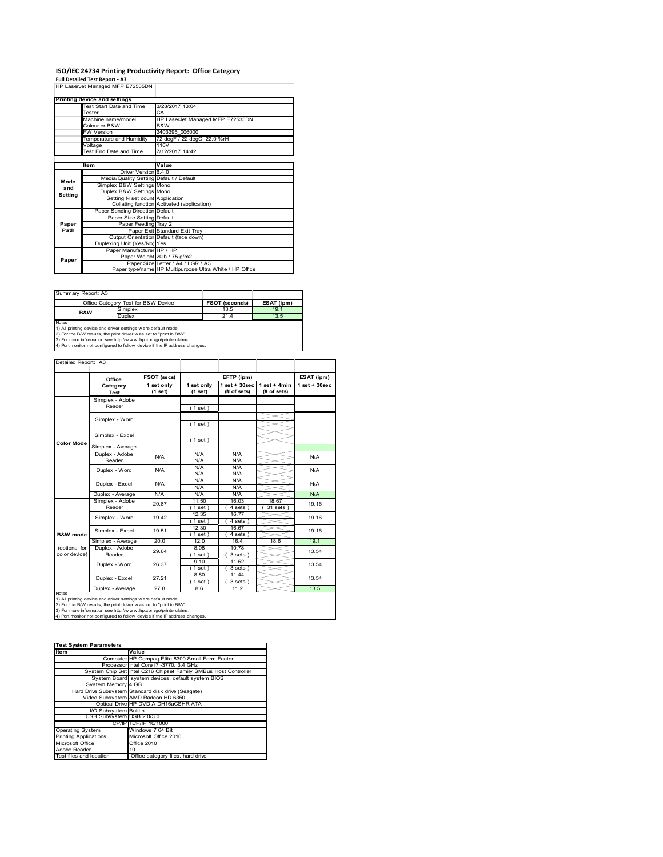# **ISO/IEC 24734 Printing Productivity Report: Office Category<br>Full Detailed Test Report - A3<br>HP LaserJet Managed MFP E72535DN |**

|         | HE Laselvel Managed MFF E72333DN        |                                                         |
|---------|-----------------------------------------|---------------------------------------------------------|
|         |                                         |                                                         |
|         | Printing device and settings            |                                                         |
|         | Test Start Date and Time                | 3/28/2017 13:04                                         |
|         | Tester                                  | CA                                                      |
|         | Machine name/model                      | HP LaserJet Managed MFP E72535DN                        |
|         | Colour or B&W                           | B&W                                                     |
|         | <b>FW Version</b>                       | 2403295 006000                                          |
|         | Temperature and Humidity                | 72 degF / 22 degC 22.0 %rH                              |
|         | Voltage                                 | 110V                                                    |
|         | Test End Date and Time                  | 7/12/2017 14:42                                         |
|         |                                         |                                                         |
|         | Item                                    | Value                                                   |
|         | Driver Version 6.4.0                    |                                                         |
| Mode    | Media/Quality Setting Default / Default |                                                         |
| and     | Simplex B&W Settings Mono               |                                                         |
| Setting | Duplex B&W Settings Mono                |                                                         |
|         | Setting N set count Application         |                                                         |
|         |                                         | Collating function Activated (application)              |
|         | Paper Sending Direction Default         |                                                         |
|         | Paper Size Setting Default              |                                                         |
| Paper   | Paper Feeding Tray 2                    |                                                         |
| Path    |                                         | Paper Exit Standard Exit Tray                           |
|         |                                         | Output Orientation Default (face down)                  |
|         | Duplexing Unit (Yes/No) Yes             |                                                         |
|         | Paper Manufacturer HP / HP              |                                                         |
| Paper   |                                         | Paper Weight 20lb / 75 g/m2                             |
|         |                                         | Paper Size Letter / A4 / LGR / A3                       |
|         |                                         | Paper type/name HP Multipurpose Ultra White / HP Office |

| Summary Report: A3 |                                                                     |                |            |  |  |  |  |
|--------------------|---------------------------------------------------------------------|----------------|------------|--|--|--|--|
|                    | Office Category Test for B&W Device                                 | FSOT (seconds) | ESAT (ipm) |  |  |  |  |
| <b>B&amp;W</b>     | Simplex                                                             | 13.5           | 19.1       |  |  |  |  |
|                    | <b>Duplex</b>                                                       | 21.4           | 13.5       |  |  |  |  |
| <b>Notes</b>       |                                                                     |                |            |  |  |  |  |
|                    | 1) All printing device and driver settings w ere default mode.      |                |            |  |  |  |  |
|                    | 2) For the B/W results, the print driver was set to "print in B/W". |                |            |  |  |  |  |

2) For the B/W results, the print driver w as set to "print in B/W".<br>3) For more information see http://w w w.hp.com/go/printerclaims.<br>4) Port monitor not configured to follow device if the IP address changes.

|                     | Office                  | FSOT (secs)           |                       | EFTP (ipm)                        |                                | ESAT (ipm)         |
|---------------------|-------------------------|-----------------------|-----------------------|-----------------------------------|--------------------------------|--------------------|
|                     | Category<br><b>Test</b> | 1 set only<br>(1 set) | 1 set only<br>(1 set) | $1$ set + $30$ sec<br>(# of sets) | $1 set + 4 min$<br>(# of sets) | $1$ set + $30$ sec |
|                     | Simplex - Adobe         |                       |                       |                                   |                                |                    |
|                     | Reader                  |                       | (1 set)               |                                   |                                |                    |
|                     | Simplex - Word          |                       |                       |                                   |                                |                    |
|                     |                         |                       | (1 set)               |                                   |                                |                    |
|                     | Simplex - Excel         |                       |                       |                                   |                                |                    |
| <b>Color Mode</b>   |                         |                       | (1 set)               |                                   |                                |                    |
|                     | Simplex - Average       |                       |                       |                                   |                                |                    |
|                     | Duplex - Adobe          | N/A                   | N/A                   | N/A                               |                                | N/A                |
|                     | Reader                  |                       | N/A                   | N/A                               |                                |                    |
|                     | Duplex - Word           | N/A                   | N/A                   | N/A                               |                                | N/A                |
|                     |                         |                       | N/A                   | N/A                               |                                |                    |
|                     | Duplex - Excel          | N/A                   | N/A                   | N/A                               |                                | N/A                |
|                     |                         |                       | N/A                   | N/A                               |                                |                    |
|                     | Duplex - Average        | N/A                   | N/A                   | N/A                               |                                | N/A                |
|                     | Simplex - Adobe         | 20.87                 | 11.50                 | 16.03                             | 18.67                          | 19.16              |
|                     | Reader                  |                       | (1 set)               | $4 sets$ )                        | $31$ sets $)$                  |                    |
|                     | Simplex - Word          | 19.42                 | 12.35                 | 16.77                             |                                | 19.16              |
|                     |                         |                       | $1$ set)              | $\overline{4}$ sets)              |                                |                    |
|                     | Simplex - Excel         | 19.51                 | 12.30                 | 16.67                             |                                | 19.16              |
| <b>B&amp;W</b> mode |                         |                       | (1 set)               | 4 sets)                           |                                |                    |
|                     | Simplex - Average       | 20.0                  | 12.0                  | 16.4                              | 18.6                           | 19.1               |
| (optional for       | Duplex - Adobe          | 29.64                 | 8.08                  | 10.78                             |                                | 13.54              |
| color device)       | Reader                  |                       | $1$ set)              | $3 sets$ )                        |                                |                    |
|                     | Duplex - Word           | 26.37                 | 9.10                  | 11.52                             |                                | 13.54              |
|                     |                         |                       | (1 set)               | $3 sets$ )                        |                                |                    |
|                     | Duplex - Excel          | 27.21                 | 8.80                  | 11.44                             |                                | 13.54              |
|                     |                         |                       | $1$ set)              | $3 sets$ )                        |                                |                    |
|                     | Duplex - Average        | 27.8                  | 8.6                   | 11.2                              |                                | 13.5               |

| <b>Test System Parameters</b> |                                                                 |  |  |  |  |  |
|-------------------------------|-----------------------------------------------------------------|--|--|--|--|--|
| ltem                          | Value                                                           |  |  |  |  |  |
|                               | Computer HP Compaq Elite 8300 Small Form Factor                 |  |  |  |  |  |
|                               | Processor Intel Core i7 -3770, 3.4 GHz                          |  |  |  |  |  |
|                               | System Chip Set Intel C216 Chipset Family SMBus Host Controller |  |  |  |  |  |
|                               | System Board system devices, default system BIOS                |  |  |  |  |  |
| System Memory 4 GB            |                                                                 |  |  |  |  |  |
|                               | Hard Drive Subsystem Standard disk drive (Seagate)              |  |  |  |  |  |
|                               | Video Subsystem AMD Radeon HD 6350                              |  |  |  |  |  |
|                               | Optical Drive HP DVD A DH16aCSHR ATA                            |  |  |  |  |  |
| I/O Subsystem Builtin         |                                                                 |  |  |  |  |  |
| USB Subsystem USB 2.0/3.0     |                                                                 |  |  |  |  |  |
|                               | TCP/IPITCP/IP 10/1000                                           |  |  |  |  |  |
| <b>Operating System</b>       | Windows 7 64 Bit                                                |  |  |  |  |  |
| <b>Printing Applications</b>  | Microsoft Office 2010                                           |  |  |  |  |  |
| Microsoft Office              | Office 2010                                                     |  |  |  |  |  |
| Adobe Reader                  | 10                                                              |  |  |  |  |  |
| Test files and location       | Office category files, hard drive                               |  |  |  |  |  |
|                               |                                                                 |  |  |  |  |  |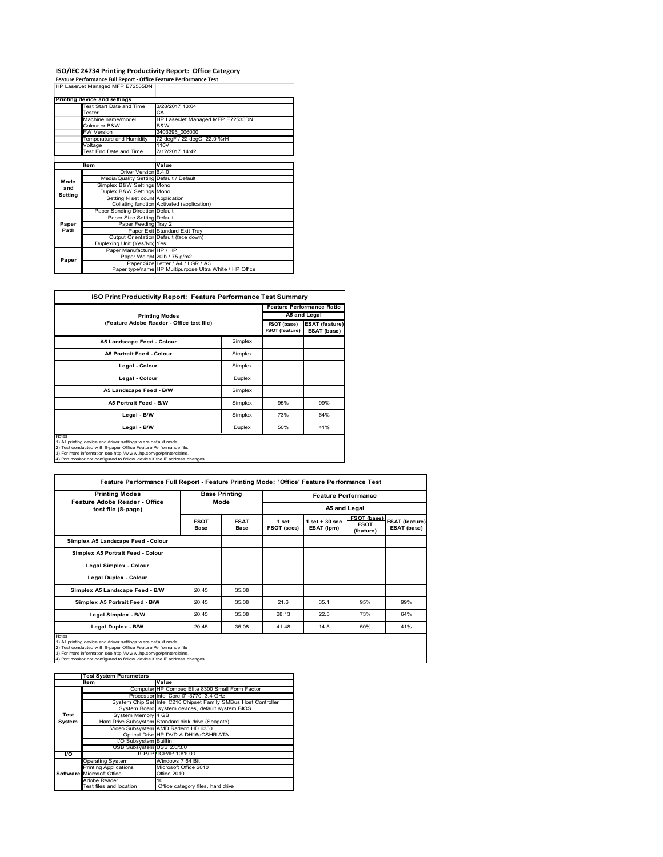# **ISO/IEC 24734 Printing Productivity Report: Office Category<br>Feature Performance Full Report - Office Feature Performance Test<br>HP LaserJet Managed MFP E72535DN |**

|         | <b>Printing device and settings</b>     |                                                         |
|---------|-----------------------------------------|---------------------------------------------------------|
|         | Test Start Date and Time                | 3/28/2017 13:04                                         |
|         | Tester                                  | CA.                                                     |
|         | Machine name/model                      | HP LaserJet Managed MFP E72535DN                        |
|         | Colour or B&W                           | B&W                                                     |
|         | <b>FW Version</b>                       | 2403295 006000                                          |
|         | Temperature and Humidity                | 72 degF / 22 degC 22.0 %rH                              |
|         | Voltage                                 | 110V                                                    |
|         | Test End Date and Time                  | 7/12/2017 14:42                                         |
|         |                                         |                                                         |
|         | Item                                    | Value                                                   |
|         | Driver Version 6.4.0                    |                                                         |
| Mode    | Media/Quality Setting Default / Default |                                                         |
| and     | Simplex B&W Settings Mono               |                                                         |
| Setting | Duplex B&W Settings Mono                |                                                         |
|         | Setting N set count Application         |                                                         |
|         |                                         | Collating function Activated (application)              |
|         | Paper Sending Direction Default         |                                                         |
|         | Paper Size Setting Default              |                                                         |
| Paper   | Paper Feeding Tray 2                    |                                                         |
| Path    |                                         | Paper Exit Standard Exit Tray                           |
|         |                                         | Output Orientation Default (face down)                  |
|         | Duplexing Unit (Yes/No) Yes             |                                                         |
|         | Paper Manufacturer HP / HP              |                                                         |
| Paper   |                                         | Paper Weight 20lb / 75 g/m2                             |
|         |                                         | Paper Size Letter / A4 / LGR / A3                       |
|         |                                         | Paper type/name HP Multipurpose Ultra White / HP Office |

| <b>Printing Modes</b>                     |         | A5 and Legal                  |                                      |  |  |
|-------------------------------------------|---------|-------------------------------|--------------------------------------|--|--|
| (Feature Adobe Reader - Office test file) |         | FSOT (base)<br>FSOT (feature) | <b>ESAT</b> (feature)<br>ESAT (base) |  |  |
| A5 Landscape Feed - Colour                | Simplex |                               |                                      |  |  |
| <b>A5 Portrait Feed - Colour</b>          | Simplex |                               |                                      |  |  |
| Legal - Colour                            | Simplex |                               |                                      |  |  |
| Legal - Colour                            | Duplex  |                               |                                      |  |  |
| A5 Landscape Feed - B/W                   | Simplex |                               |                                      |  |  |
| <b>A5 Portrait Feed - B/W</b>             | Simplex | 95%                           | 99%                                  |  |  |
| Legal - B/W                               | Simplex | 73%                           | 64%                                  |  |  |
| Legal - B/W                               | Duplex  | 50%                           | 41%                                  |  |  |

2) Test conducted with 8-paper Office Feature Performance file.<br>3) For more information see http://w w w .hp.com/go/printerclaims.<br>4) Port monitor not configured to follow device if the IP address changes.

| <b>Printing Modes</b><br>Feature Adobe Reader - Office                                                                                                                                                                                                                                    | <b>Base Printing</b><br>Mode |                            | <b>Feature Performance</b> |                                 |                                         |                                      |
|-------------------------------------------------------------------------------------------------------------------------------------------------------------------------------------------------------------------------------------------------------------------------------------------|------------------------------|----------------------------|----------------------------|---------------------------------|-----------------------------------------|--------------------------------------|
| test file (8-page)                                                                                                                                                                                                                                                                        |                              |                            | A5 and Legal               |                                 |                                         |                                      |
|                                                                                                                                                                                                                                                                                           | <b>FSOT</b><br><b>Base</b>   | <b>ESAT</b><br><b>Base</b> | 1 set<br>FSOT (secs)       | $1$ set $+30$ sec<br>ESAT (ipm) | FSOT (base)<br><b>FSOT</b><br>(feature) | <b>ESAT (feature)</b><br>ESAT (base) |
| Simplex A5 Landscape Feed - Colour                                                                                                                                                                                                                                                        |                              |                            |                            |                                 |                                         |                                      |
| Simplex A5 Portrait Feed - Colour                                                                                                                                                                                                                                                         |                              |                            |                            |                                 |                                         |                                      |
| Legal Simplex - Colour                                                                                                                                                                                                                                                                    |                              |                            |                            |                                 |                                         |                                      |
| Legal Duplex - Colour                                                                                                                                                                                                                                                                     |                              |                            |                            |                                 |                                         |                                      |
| Simplex A5 Landscape Feed - B/W                                                                                                                                                                                                                                                           | 20.45                        | 35.08                      |                            |                                 |                                         |                                      |
| Simplex A5 Portrait Feed - B/W                                                                                                                                                                                                                                                            | 20.45                        | 35.08                      | 21.6                       | 35.1                            | 95%                                     | 99%                                  |
| Legal Simplex - B/W                                                                                                                                                                                                                                                                       | 20.45                        | 35.08                      | 28.13                      | 22.5                            | 73%                                     | 64%                                  |
| Legal Duplex - B/W                                                                                                                                                                                                                                                                        | 20.45                        | 35.08                      | 41.48                      | 14.5                            | 50%                                     | 41%                                  |
| Notes<br>1) All printing device and driver settings were default mode.<br>2) Test conducted with 8-paper Office Feature Performance file<br>3) For more information see http://www.hp.com/go/printerclaims.<br>4) Port monitor not configured to follow device if the IP address changes. |                              |                            |                            |                                 |                                         |                                      |

|           | <b>Test System Parameters</b> |                                                                 |
|-----------|-------------------------------|-----------------------------------------------------------------|
|           | <b>Item</b>                   | Value                                                           |
|           |                               | Computer HP Compaq Elite 8300 Small Form Factor                 |
|           |                               | Processor Intel Core i7 -3770, 3.4 GHz                          |
|           |                               | System Chip Set Intel C216 Chipset Family SMBus Host Controller |
|           |                               | System Board system devices, default system BIOS                |
| Test      | System Memory 4 GB            |                                                                 |
| System    |                               | Hard Drive Subsystem Standard disk drive (Seagate)              |
|           |                               | Video Subsystem AMD Radeon HD 6350                              |
|           |                               | Optical Drive HP DVD A DH16aCSHR ATA                            |
|           | I/O Subsystem Builtin         |                                                                 |
|           | USB Subsystem USB 2.0/3.0     |                                                                 |
| <b>VO</b> |                               | TCP/IP TCP/IP 10/1000                                           |
|           | Operating System              | Windows 7 64 Bit                                                |
|           | <b>Printing Applications</b>  | Microsoft Office 2010                                           |
|           | Software Microsoft Office     | Office 2010                                                     |
|           | Adobe Reader                  | 10                                                              |
|           | Test files and location       | Office category files, hard drive                               |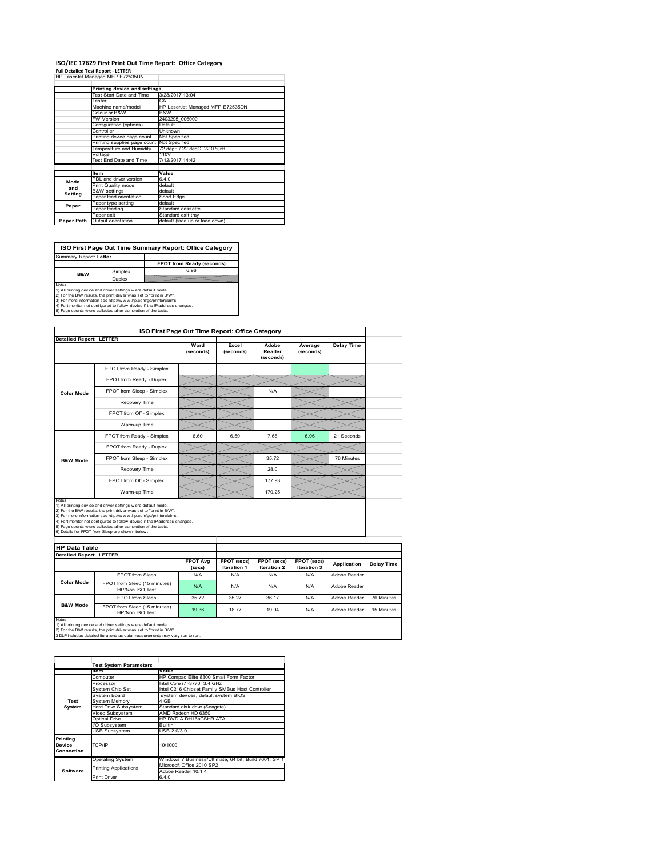#### **ISO/IEC 17629 First Print Out Time Report: Office Category Full Detailed Test Report ‐ LETTER** HP LaserJet Managed MFP E72535DN

|            | III LGOUUULIVIGIIGUUU IVIII L <i>I LUUU</i> UIV |                                  |
|------------|-------------------------------------------------|----------------------------------|
|            | Printing device and settings                    |                                  |
|            | Test Start Date and Time                        | 3/28/2017 13:04                  |
|            | Tester                                          | CA                               |
|            | Machine name/model                              | HP LaserJet Managed MFP E72535DN |
|            | Colour or B&W                                   | B&W                              |
|            | <b>FW Version</b>                               | 2403295 006000                   |
|            | Configuration (options)                         | Default                          |
|            | Controller                                      | Unknown                          |
|            | Printing device page count                      | Not Specified                    |
|            | Printing supplies page count                    | Not Specified                    |
|            | Temperature and Humidity                        | 72 degF / 22 degC 22.0 %rH       |
|            | Voltage                                         | 110V                             |
|            | Test End Date and Time                          | 7/12/2017 14:42                  |
|            |                                                 |                                  |
|            | <b>Item</b>                                     | Value                            |
| Mode       | PDL and driver version                          | 6.4.0                            |
| and        | Print Quality mode                              | default                          |
| Setting    | <b>B&amp;W</b> settings                         | default                          |
|            | Paper feed orientation                          | Short Edge                       |
| Paper      | Paper type setting                              | default                          |
|            | Paper feeding                                   | Standard cassette                |
|            | Paper exit                                      | Standard exit tray               |
| Paper Path | Output orientation                              | default (face up or face down)   |

**FPOT from Ready (seconds)**<br>
Simplex 6.96 **ISO First Page Out Time Summary Report: Office Category** Summary Report: **Letter B&W**

**Duplex**<br>
Notes<br>
1) All printing device and driver settings were default mode.<br>
2) For the BM reaults, the print driver was set to "print in BM".<br>
4) For more information see http://www.hp.com/golprinterclaims.<br>
4) Port mo

|                                | <b>Detailed Report: LETTER</b>                                                                                                                                                                                                                                                                                                                                                                               | Word<br>(seconds) | Excel<br>(seconds)        | Adobe<br>Reader<br>(seconds) | Average<br>(seconds) | <b>Delay Time</b> |            |
|--------------------------------|--------------------------------------------------------------------------------------------------------------------------------------------------------------------------------------------------------------------------------------------------------------------------------------------------------------------------------------------------------------------------------------------------------------|-------------------|---------------------------|------------------------------|----------------------|-------------------|------------|
|                                | FPOT from Ready - Simplex                                                                                                                                                                                                                                                                                                                                                                                    |                   |                           |                              |                      |                   |            |
|                                | FPOT from Ready - Duplex                                                                                                                                                                                                                                                                                                                                                                                     |                   |                           |                              |                      |                   |            |
| <b>Color Mode</b>              | FPOT from Sleep - Simplex                                                                                                                                                                                                                                                                                                                                                                                    |                   |                           | N/A                          |                      |                   |            |
|                                | Recovery Time                                                                                                                                                                                                                                                                                                                                                                                                |                   |                           |                              |                      |                   |            |
|                                | FPOT from Off - Simplex                                                                                                                                                                                                                                                                                                                                                                                      |                   |                           |                              |                      |                   |            |
|                                | Warm-up Time                                                                                                                                                                                                                                                                                                                                                                                                 |                   |                           |                              |                      |                   |            |
|                                | FPOT from Ready - Simplex                                                                                                                                                                                                                                                                                                                                                                                    | 6.60              | 6.59                      | 7.68                         | 6.96                 | 21 Seconds        |            |
|                                | FPOT from Ready - Duplex                                                                                                                                                                                                                                                                                                                                                                                     |                   |                           |                              |                      |                   |            |
| <b>B&amp;W Mode</b>            | FPOT from Sleep - Simplex                                                                                                                                                                                                                                                                                                                                                                                    |                   |                           | 35.72                        |                      | 76 Minutes        |            |
|                                |                                                                                                                                                                                                                                                                                                                                                                                                              |                   |                           |                              |                      |                   |            |
|                                | Recovery Time                                                                                                                                                                                                                                                                                                                                                                                                |                   |                           | 28.0                         |                      |                   |            |
|                                | FPOT from Off - Simplex                                                                                                                                                                                                                                                                                                                                                                                      |                   |                           | 177.93                       |                      |                   |            |
| Notes                          | Warm-up Time                                                                                                                                                                                                                                                                                                                                                                                                 |                   |                           | 170.25                       |                      |                   |            |
| <b>HP Data Table</b>           | 1) All printing device and driver settings w ere default mode.<br>2) For the B/W results, the print driver w as set to "print in B/W".<br>3) For more information see http://www.hp.com/go/printerclaims.<br>4) Port monitor not configured to follow device if the IP address changes.<br>5) Page counts w ere collected after completion of the tests.<br>6) Details for FPOT from Sleep are show n below. |                   |                           |                              |                      |                   |            |
| <b>Detailed Report: LETTER</b> |                                                                                                                                                                                                                                                                                                                                                                                                              | <b>FPOT Avg</b>   | FPOT (secs)               | FPOT (secs)                  | FPOT (secs)          | Application       | Delay Time |
|                                | FPOT from Sleep                                                                                                                                                                                                                                                                                                                                                                                              | (se cs)<br>N/A    | <b>Iteration 1</b><br>N/A | Iteration 2<br>N/A           | Iteration 3<br>N/A   | Adobe Reader      |            |
| <b>Color Mode</b>              | FPOT from Sleep (15 minutes)<br>HP/Non ISO Test                                                                                                                                                                                                                                                                                                                                                              | N/A               | N/A                       | N/A                          | N/A                  | Adobe Reader      |            |
| <b>B&amp;W Mode</b>            | FPOT from Sleep                                                                                                                                                                                                                                                                                                                                                                                              | 35.72             | 35 27                     | 36.17                        | N/A                  | Adobe Reader      | 76 Minutes |

|                      | <b>Test System Parameters</b> |                                                       |  |  |  |
|----------------------|-------------------------------|-------------------------------------------------------|--|--|--|
|                      | <b>Item</b>                   | Value                                                 |  |  |  |
|                      | Computer                      | HP Compag Elite 8300 Small Form Factor                |  |  |  |
|                      | Processor                     | Intel Core i7 -3770, 3.4 GHz                          |  |  |  |
|                      | System Chip Set               | Intel C216 Chipset Family SMBus Host Controller       |  |  |  |
|                      | System Board                  | system devices, default system BIOS                   |  |  |  |
| Test                 | <b>System Memory</b>          | 4 GB                                                  |  |  |  |
| System               | Hard Drive Subsystem          | Standard disk drive (Seagate)                         |  |  |  |
|                      | Video Subsystem               | AMD Radeon HD 6350                                    |  |  |  |
|                      | Optical Drive                 | HP DVD A DH16aCSHR ATA                                |  |  |  |
|                      | I/O Subsystem                 | <b>Builtin</b>                                        |  |  |  |
|                      | <b>USB Subsystem</b>          | USB 2.0/3.0                                           |  |  |  |
| Printing             | TCP/IP                        | 10/1000                                               |  |  |  |
| Device<br>Connection |                               |                                                       |  |  |  |
|                      | <b>Operating System</b>       | Windows 7 Business/Ultimate, 64 bit, Build 7601, SP 1 |  |  |  |
|                      |                               | Microsoft Office 2010 SP2                             |  |  |  |
| Software             | <b>Printing Applications</b>  | Adobe Reader 10.1.4                                   |  |  |  |
|                      | Print Driver                  | 6.4.0                                                 |  |  |  |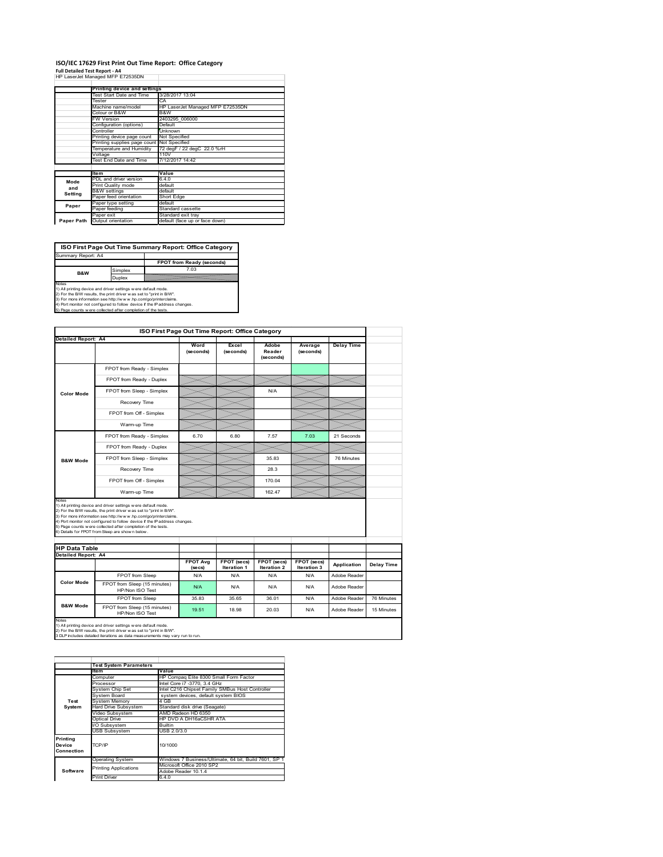# **ISO/IEC 17629 First Print Out Time Report: Office Category**

| <b>Full Detailed Test Report - A4</b> |  |
|---------------------------------------|--|
| HP LaserJet Managed MFP E72535DN      |  |

|            | Printing device and settings |                                  |  |  |  |
|------------|------------------------------|----------------------------------|--|--|--|
|            | Test Start Date and Time     | 3/28/2017 13:04                  |  |  |  |
|            | Tester                       | CA                               |  |  |  |
|            | Machine name/model           | HP LaserJet Managed MFP E72535DN |  |  |  |
|            | Colour or B&W                | B&W                              |  |  |  |
|            | FW Version                   | 2403295 006000                   |  |  |  |
|            | Configuration (options)      | Default                          |  |  |  |
|            | Controller                   | Unknown                          |  |  |  |
|            | Printing device page count   | Not Specified                    |  |  |  |
|            | Printing supplies page count | Not Specified                    |  |  |  |
|            | Temperature and Humidity     | 72 degF / 22 degC 22.0 %rH       |  |  |  |
|            | Voltage                      | 110V                             |  |  |  |
|            | Test End Date and Time       | 7/12/2017 14:42                  |  |  |  |
|            |                              |                                  |  |  |  |
|            | <b>Item</b>                  | Value                            |  |  |  |
| Mode       | PDL and driver version       | 6.4.0                            |  |  |  |
| and        | Print Quality mode           | default                          |  |  |  |
| Setting    | <b>B&amp;W</b> settings      | default                          |  |  |  |
|            | Paper feed orientation       | Short Edge                       |  |  |  |
| Paper      | Paper type setting           | default                          |  |  |  |
|            | Paper feeding                | Standard cassette                |  |  |  |
|            | Paper exit                   | Standard exit tray               |  |  |  |
| Paper Path | Output orientation           | default (face up or face down)   |  |  |  |

**ISO First Page Out Time Summary Report: Office Category**

**FPOT from Ready (seconds)** Simplex 7.03 Duplex Notes<br>1) All printing device and driver settings were default mode.<br>2) For the BAV results, the print driver was set to "print in BAV".<br>3) For more information see http://www.hp.com/golprinterclaims.<br>4) Port monitor not co Summary Report: A4 **B&W**

| ISO First Page Out Time Report: Office Category                                                                                                                                                                                                                                                                                                                                                                                              |                                                 |                   |                    |                              |                      |                   |            |  |  |  |
|----------------------------------------------------------------------------------------------------------------------------------------------------------------------------------------------------------------------------------------------------------------------------------------------------------------------------------------------------------------------------------------------------------------------------------------------|-------------------------------------------------|-------------------|--------------------|------------------------------|----------------------|-------------------|------------|--|--|--|
| <b>Detailed Report: A4</b>                                                                                                                                                                                                                                                                                                                                                                                                                   |                                                 |                   |                    |                              |                      |                   |            |  |  |  |
|                                                                                                                                                                                                                                                                                                                                                                                                                                              |                                                 | Word<br>(seconds) | Excel<br>(seconds) | Adobe<br>Reader<br>(seconds) | Average<br>(seconds) | <b>Delay Time</b> |            |  |  |  |
|                                                                                                                                                                                                                                                                                                                                                                                                                                              | FPOT from Ready - Simplex                       |                   |                    |                              |                      |                   |            |  |  |  |
|                                                                                                                                                                                                                                                                                                                                                                                                                                              | FPOT from Ready - Duplex                        |                   |                    |                              |                      |                   |            |  |  |  |
| <b>Color Mode</b>                                                                                                                                                                                                                                                                                                                                                                                                                            | FPOT from Sleep - Simplex                       |                   |                    | N/A                          |                      |                   |            |  |  |  |
|                                                                                                                                                                                                                                                                                                                                                                                                                                              | Recovery Time                                   |                   |                    |                              |                      |                   |            |  |  |  |
|                                                                                                                                                                                                                                                                                                                                                                                                                                              | FPOT from Off - Simplex                         |                   |                    |                              |                      |                   |            |  |  |  |
|                                                                                                                                                                                                                                                                                                                                                                                                                                              | Warm-up Time                                    |                   |                    |                              |                      |                   |            |  |  |  |
|                                                                                                                                                                                                                                                                                                                                                                                                                                              | FPOT from Ready - Simplex                       | 6.70              | 6.80               | 7.57                         | 7.03                 | 21 Seconds        |            |  |  |  |
|                                                                                                                                                                                                                                                                                                                                                                                                                                              | FPOT from Ready - Duplex                        |                   |                    |                              |                      |                   |            |  |  |  |
| <b>B&amp;W Mode</b>                                                                                                                                                                                                                                                                                                                                                                                                                          | FPOT from Sleep - Simplex                       |                   |                    | 35.83                        |                      | 76 Minutes        |            |  |  |  |
|                                                                                                                                                                                                                                                                                                                                                                                                                                              | Recovery Time                                   |                   |                    | 28.3                         |                      |                   |            |  |  |  |
|                                                                                                                                                                                                                                                                                                                                                                                                                                              | FPOT from Off - Simplex                         |                   |                    | 170.04                       |                      |                   |            |  |  |  |
|                                                                                                                                                                                                                                                                                                                                                                                                                                              | Warm-up Time                                    |                   |                    | 162 47                       |                      |                   |            |  |  |  |
| Notes<br>1) All printing device and driver settings w ere default mode.<br>2) For the B/W results, the print driver was set to "print in B/W".<br>3) For more information see http://www.hp.com/go/printerclaims.<br>4) Port monitor not configured to follow device if the IP address changes.<br>5) Page counts w ere collected after completion of the tests.<br>6) Details for FPOT from Sleep are show n below.<br><b>HP Data Table</b> |                                                 |                   |                    |                              |                      |                   |            |  |  |  |
| Detailed Report: A4                                                                                                                                                                                                                                                                                                                                                                                                                          |                                                 | <b>FPOT Avg</b>   | FPOT (secs)        | FPOT (secs)                  | FPOT (secs)          |                   |            |  |  |  |
|                                                                                                                                                                                                                                                                                                                                                                                                                                              |                                                 | (se cs)           | <b>Iteration 1</b> | <b>Iteration 2</b>           | Iteration 3          | Application       | Delay Time |  |  |  |
| <b>Color Mode</b>                                                                                                                                                                                                                                                                                                                                                                                                                            | FPOT from Sleep                                 | N/A               | N/A                | N/A                          | N/A                  | Adobe Reader      |            |  |  |  |
|                                                                                                                                                                                                                                                                                                                                                                                                                                              | FPOT from Sleep (15 minutes)<br>HP/Non ISO Test | N/A               | N/A                | N/A                          | N/A                  | Adobe Reader      |            |  |  |  |
|                                                                                                                                                                                                                                                                                                                                                                                                                                              | FPOT from Sleep                                 | 35.83             | 35.65              | 36.01                        | N/A                  | Adobe Reader      | 76 Minutes |  |  |  |
|                                                                                                                                                                                                                                                                                                                                                                                                                                              | FPOT from Sleep (15 minutes)<br>HP/Non ISO Test | 19.51             | 18.98              | 20.03                        | N/A                  | Adobe Reader      | 15 Minutes |  |  |  |
| <b>B&amp;W Mode</b><br>Notes<br>1) All printing device and driver settings w ere default mode.<br>2) For the B/W results, the print driver was set to "print in B/W".<br>3 DLP includes detailed iterations as data measurements may vary run to run.                                                                                                                                                                                        |                                                 |                   |                    |                              |                      |                   |            |  |  |  |

|            | <b>Test System Parameters</b> |                                                       |  |  |
|------------|-------------------------------|-------------------------------------------------------|--|--|
|            | <b>Item</b>                   | Value                                                 |  |  |
|            | Computer                      | HP Compaq Elite 8300 Small Form Factor                |  |  |
|            | Processor                     | Intel Core i7 -3770, 3.4 GHz                          |  |  |
|            | System Chip Set               | Intel C216 Chipset Family SMBus Host Controller       |  |  |
|            | System Board                  | system devices, default system BIOS                   |  |  |
| Test       | <b>System Memory</b>          | 4 GB                                                  |  |  |
| System     | <b>Hard Drive Subsystem</b>   | Standard disk drive (Seagate)                         |  |  |
|            | Video Subsystem               | AMD Radeon HD 6350                                    |  |  |
|            | Optical Drive                 | HP DVD A DH16aCSHR ATA                                |  |  |
|            | I/O Subsystem                 | <b>Builtin</b>                                        |  |  |
|            | <b>USB Subsystem</b>          | USB 2.0/3.0                                           |  |  |
| Printing   |                               |                                                       |  |  |
| Device     | TCP/IP                        | 10/1000                                               |  |  |
| Connection |                               |                                                       |  |  |
|            | <b>Operating System</b>       | Windows 7 Business/Ultimate, 64 bit, Build 7601, SP 1 |  |  |
|            | <b>Printing Applications</b>  | Microsoft Office 2010 SP2                             |  |  |
| Software   |                               | Adobe Reader 10.1.4                                   |  |  |
|            | <b>Print Driver</b>           | 6.4.0                                                 |  |  |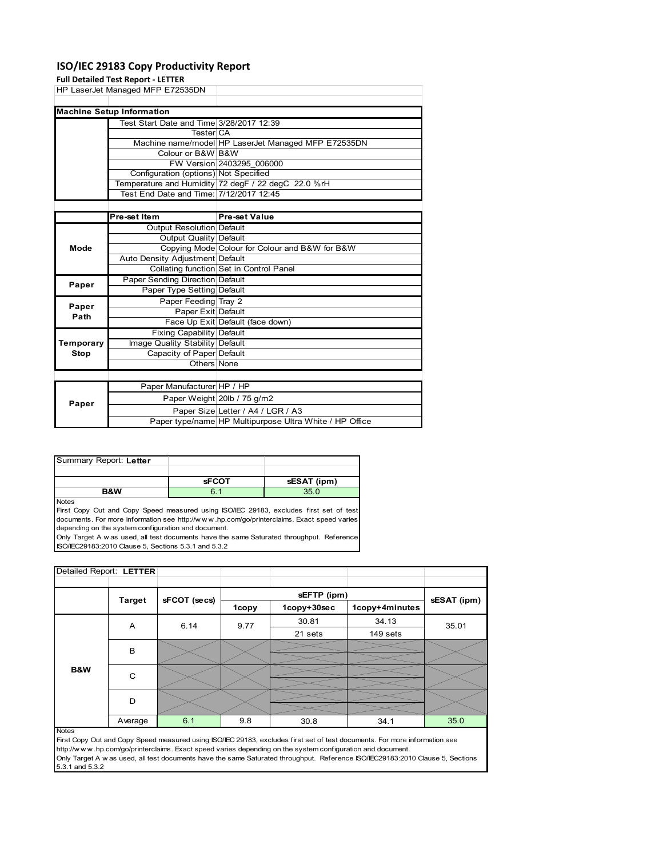# **ISO/IEC 29183 Copy Productivity Report**

|           | <b>Full Detailed Test Report - LETTER</b> |                                                     |
|-----------|-------------------------------------------|-----------------------------------------------------|
|           | HP LaserJet Managed MFP E72535DN          |                                                     |
|           |                                           |                                                     |
|           | <b>Machine Setup Information</b>          |                                                     |
|           | Test Start Date and Time 3/28/2017 12:39  |                                                     |
|           | TesterICA                                 |                                                     |
|           |                                           | Machine name/model HP LaserJet Managed MFP E72535DN |
|           | Colour or B&W B&W                         |                                                     |
|           |                                           | FW Version 2403295 006000                           |
|           | Configuration (options) Not Specified     |                                                     |
|           |                                           | Temperature and Humidity 72 degF / 22 degC 22.0 %rH |
|           | Test End Date and Time: 7/12/2017 12:45   |                                                     |
|           |                                           |                                                     |
|           | Pre-set Item                              | <b>Pre-set Value</b>                                |
|           | Output Resolution Default                 |                                                     |
|           | Output Quality Default                    |                                                     |
| Mode      |                                           | Copying Mode Colour for Colour and B&W for B&W      |
|           | Auto Density Adjustment Default           |                                                     |
|           |                                           | <b>Collating function Set in Control Panel</b>      |
| Paper     | Paper Sending Direction Default           |                                                     |
|           | Paper Type Setting Default                |                                                     |
| Paper     | Paper Feeding Tray 2                      |                                                     |
| Path      | Paper Exit Default                        |                                                     |
|           |                                           | Face Up Exit Default (face down)                    |
|           | Fixing Capability Default                 |                                                     |
| Temporary | Image Quality Stability Default           |                                                     |
| Stop      | Capacity of Paper Default                 |                                                     |
|           | Others None                               |                                                     |
|           |                                           |                                                     |
|           | Paper Manufacturer HP / HP                |                                                     |
|           |                                           | Paper Weight 20lb / 75 g/m2                         |
| Paper     |                                           | Paper Size Letter / A4 / LGR / A3                   |

| Summary Report: Letter |              |             |
|------------------------|--------------|-------------|
|                        |              |             |
|                        | <b>sFCOT</b> | sESAT (ipm) |
|                        |              |             |

Notes

First Copy Out and Copy Speed measured using ISO/IEC 29183, excludes first set of test documents. For more information see http://w w w .hp.com/go/printerclaims. Exact speed varies depending on the system configuration and document.

Only Target A w as used, all test documents have the same Saturated throughput. Reference ISO/IEC29183:2010 Clause 5, Sections 5.3.1 and 5.3.2

|               | Detailed Report: LETTER |         |              |             |             |                |       |  |
|---------------|-------------------------|---------|--------------|-------------|-------------|----------------|-------|--|
|               |                         |         |              |             |             |                |       |  |
| <b>Target</b> |                         |         |              | sEFTP (ipm) |             | sESAT (ipm)    |       |  |
|               |                         |         | sFCOT (secs) | 1copy       | 1copy+30sec | 1copy+4minutes |       |  |
|               |                         | A       | 6.14         | 9.77        | 30.81       | 34.13          | 35.01 |  |
|               |                         |         |              |             | 21 sets     | 149 sets       |       |  |
|               |                         | в       |              |             |             |                |       |  |
|               |                         |         |              |             |             |                |       |  |
|               | B&W                     | C       |              |             |             |                |       |  |
|               |                         |         |              |             |             |                |       |  |
|               |                         | D       |              |             |             |                |       |  |
|               |                         |         |              |             |             |                |       |  |
|               |                         | Average | 6.1          | 9.8         | 30.8        | 34.1           | 35.0  |  |

Paper type/name HP Multipurpose Ultra White / HP Office

First Copy Out and Copy Speed measured using ISO/IEC 29183, excludes first set of test documents. For more information see http://w w w .hp.com/go/printerclaims. Exact speed varies depending on the system configuration and document. Only Target A w as used, all test documents have the same Saturated throughput. Reference ISO/IEC29183:2010 Clause 5, Sections 5.3.1 and 5.3.2

Notes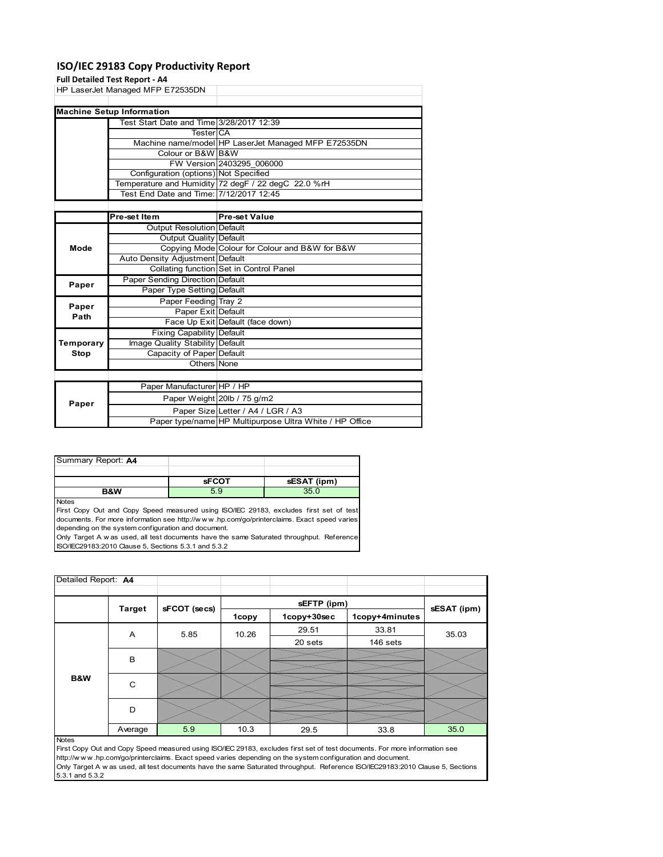# **ISO/IEC 29183 Copy Productivity Report**

# **Full Detailed Test Report ‐ A4**

|           | Fuil Detailed Test Report - A4           |                                                     |
|-----------|------------------------------------------|-----------------------------------------------------|
|           | HP LaserJet Managed MFP E72535DN         |                                                     |
|           |                                          |                                                     |
|           | <b>Machine Setup Information</b>         |                                                     |
|           | Test Start Date and Time 3/28/2017 12:39 |                                                     |
|           | <b>Tester</b> CA                         |                                                     |
|           |                                          | Machine name/model HP LaserJet Managed MFP E72535DN |
|           | Colour or B&W B&W                        |                                                     |
|           |                                          | FW Version 2403295 006000                           |
|           | Configuration (options) Not Specified    |                                                     |
|           |                                          | Temperature and Humidity 72 degF / 22 degC 22.0 %rH |
|           | Test End Date and Time: 7/12/2017 12:45  |                                                     |
|           |                                          |                                                     |
|           | Pre-set Item                             | <b>Pre-set Value</b>                                |
|           |                                          |                                                     |
|           | Output Resolution Default                |                                                     |
|           | Output Quality Default                   |                                                     |
| Mode      |                                          | Copying Mode Colour for Colour and B&W for B&W      |
|           | Auto Density Adjustment Default          |                                                     |
|           |                                          | Collating function Set in Control Panel             |
|           | Paper Sending Direction Default          |                                                     |
| Paper     | Paper Type Setting Default               |                                                     |
|           | Paper Feeding Tray 2                     |                                                     |
| Paper     | Paper Exit Default                       |                                                     |
| Path      |                                          | Face Up Exit Default (face down)                    |
|           | <b>Fixing Capability Default</b>         |                                                     |
| Temporary | Image Quality Stability Default          |                                                     |
| Stop      | Capacity of Paper Default<br>Others None |                                                     |

|       | <b>UUUUUUUUU</b>           |                                                         |
|-------|----------------------------|---------------------------------------------------------|
|       |                            |                                                         |
| Paper | Paper Manufacturer HP / HP |                                                         |
|       |                            | Paper Weight 20lb / 75 g/m2                             |
|       |                            | Paper Size Letter / A4 / LGR / A3                       |
|       |                            | Paper type/name HP Multipurpose Ultra White / HP Office |

| Summary Report: A4 |              |             |
|--------------------|--------------|-------------|
|                    |              |             |
|                    | <b>sFCOT</b> | sESAT (ipm) |
| <b>B&amp;W</b>     | 5.9          | 35.0        |

Notes

First Copy Out and Copy Speed measured using ISO/IEC 29183, excludes first set of test documents. For more information see http://w w w .hp.com/go/printerclaims. Exact speed varies depending on the system configuration and document.

Only Target A w as used, all test documents have the same Saturated throughput. Reference ISO/IEC29183:2010 Clause 5, Sections 5.3.1 and 5.3.2

| Detailed Report: A4 |               |              |       |             |                |             |
|---------------------|---------------|--------------|-------|-------------|----------------|-------------|
|                     |               |              |       | sEFTP (ipm) |                |             |
|                     | <b>Target</b> | sFCOT (secs) | 1copy | 1copy+30sec | 1copy+4minutes | sESAT (ipm) |
|                     | A             | 5.85         | 10.26 | 29.51       | 33.81          | 35.03       |
|                     |               |              |       | 20 sets     | 146 sets       |             |
|                     | B             |              |       |             |                |             |
| B&W                 | C             |              |       |             |                |             |
|                     | D             |              |       |             |                |             |
|                     | Average       | 5.9          | 10.3  | 29.5        | 33.8           | 35.0        |
| <b>Notes</b>        |               |              |       |             |                |             |

First Copy Out and Copy Speed measured using ISO/IEC 29183, excludes first set of test documents. For more information see http://w w w .hp.com/go/printerclaims. Exact speed varies depending on the system configuration and document. Only Target A w as used, all test documents have the same Saturated throughput. Reference ISO/IEC29183:2010 Clause 5, Sections 5.3.1 and 5.3.2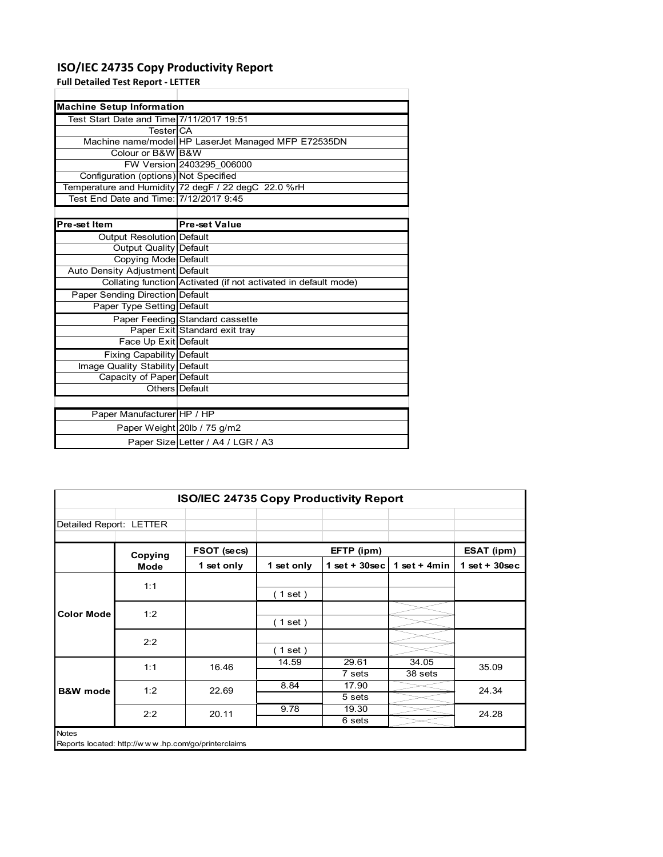# **ISO/IEC 24735 Copy Productivity Report**

Paper Weight 20lb / 75 g/m2

Paper Size Letter / A4 / LGR / A3

**Full Detailed Test Report ‐ LETTER**

| <b>Machine Setup Information</b>         |                                                                 |
|------------------------------------------|-----------------------------------------------------------------|
| Test Start Date and Time 7/11/2017 19:51 |                                                                 |
| TesterICA                                |                                                                 |
|                                          | Machine name/model HP LaserJet Managed MFP E72535DN             |
| Colour or B&W B&W                        |                                                                 |
|                                          | FW Version 2403295 006000                                       |
| Configuration (options) Not Specified    |                                                                 |
|                                          | Temperature and Humidity 72 degF / 22 degC 22.0 %rH             |
| Test End Date and Time: 7/12/2017 9:45   |                                                                 |
|                                          |                                                                 |
| Pre-set Item                             | <b>Pre-set Value</b>                                            |
| Output Resolution Default                |                                                                 |
| Output Quality Default                   |                                                                 |
| Copying Mode Default                     |                                                                 |
| Auto Density Adjustment Default          |                                                                 |
|                                          | Collating function Activated (if not activated in default mode) |
| Paper Sending Direction Default          |                                                                 |
| Paper Type Setting Default               |                                                                 |
|                                          | Paper Feeding Standard cassette                                 |
|                                          | Paper Exit Standard exit tray                                   |
| Face Up Exit Default                     |                                                                 |
| Fixing Capability Default                |                                                                 |
| Image Quality Stability Default          |                                                                 |
| Capacity of Paper Default                |                                                                 |
|                                          | Others Default                                                  |
|                                          |                                                                 |
| Paper Manufacturer HP / HP               |                                                                 |

| <b>ISO/IEC 24735 Copy Productivity Report</b> |                                                     |             |            |                  |                  |                 |
|-----------------------------------------------|-----------------------------------------------------|-------------|------------|------------------|------------------|-----------------|
| Detailed Report: LETTER                       |                                                     |             |            |                  |                  |                 |
|                                               | Copying                                             | FSOT (secs) |            | EFTP (ipm)       |                  | ESAT (ipm)      |
|                                               | <b>Mode</b>                                         | 1 set only  | 1 set only | 1 set + $30$ sec | 1 set + $4min$   | $1$ set + 30sec |
|                                               | 1:1                                                 |             | (1 set)    |                  |                  |                 |
| <b>Color Mode</b>                             | 1:2                                                 |             | (1 set)    |                  |                  |                 |
|                                               | 2:2                                                 |             | (1 set)    |                  |                  |                 |
|                                               | 1:1                                                 | 16.46       | 14.59      | 29.61<br>7 sets  | 34.05<br>38 sets | 35.09           |
| <b>B&amp;W</b> mode                           | 1:2                                                 | 22.69       | 8.84       | 17.90<br>5 sets  |                  | 24.34           |
|                                               | 2:2                                                 | 20.11       | 9.78       | 19.30<br>6 sets  |                  | 24.28           |
| <b>Notes</b>                                  | Reports located: http://www.hp.com/go/printerclaims |             |            |                  |                  |                 |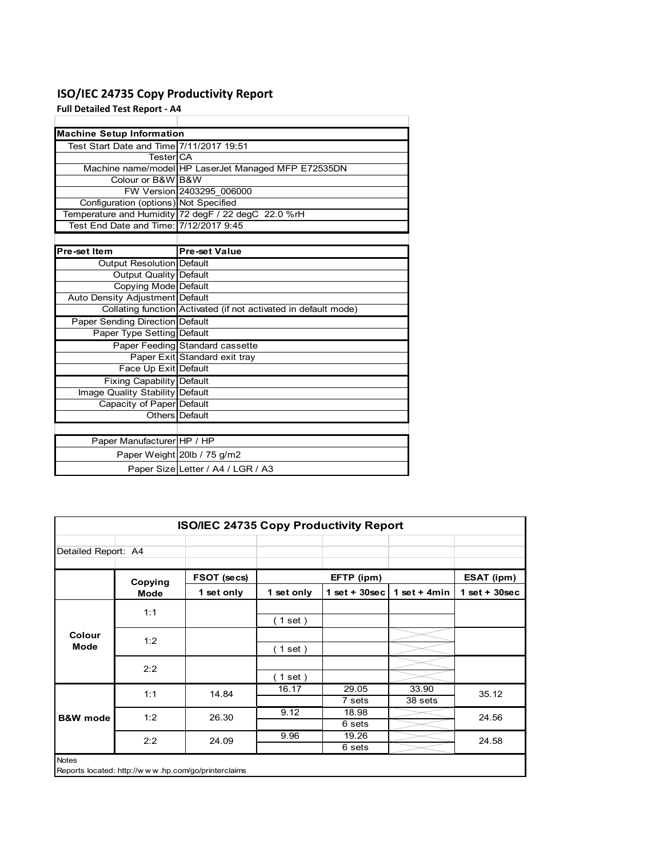# **ISO/IEC 24735 Copy Productivity Report**

**Full Detailed Test Report ‐ A4**

|                                          | <b>Machine Setup Information</b>                                |  |  |  |  |  |  |
|------------------------------------------|-----------------------------------------------------------------|--|--|--|--|--|--|
| Test Start Date and Time 7/11/2017 19:51 |                                                                 |  |  |  |  |  |  |
| TesterICA                                |                                                                 |  |  |  |  |  |  |
|                                          | Machine name/model HP LaserJet Managed MFP E72535DN             |  |  |  |  |  |  |
| Colour or B&W B&W                        |                                                                 |  |  |  |  |  |  |
|                                          | FW Version 2403295 006000                                       |  |  |  |  |  |  |
| Configuration (options) Not Specified    |                                                                 |  |  |  |  |  |  |
|                                          | Temperature and Humidity 72 degF / 22 degC 22.0 %rH             |  |  |  |  |  |  |
| Test End Date and Time: 7/12/2017 9:45   |                                                                 |  |  |  |  |  |  |
|                                          |                                                                 |  |  |  |  |  |  |
| Pre-set Item                             | <b>Pre-set Value</b>                                            |  |  |  |  |  |  |
| Output Resolution Default                |                                                                 |  |  |  |  |  |  |
| Output Quality Default                   |                                                                 |  |  |  |  |  |  |
| Copying Mode Default                     |                                                                 |  |  |  |  |  |  |
| Auto Density Adjustment Default          |                                                                 |  |  |  |  |  |  |
|                                          | Collating function Activated (if not activated in default mode) |  |  |  |  |  |  |
| Paper Sending Direction Default          |                                                                 |  |  |  |  |  |  |
| Paper Type Setting Default               |                                                                 |  |  |  |  |  |  |
|                                          | Paper Feeding Standard cassette                                 |  |  |  |  |  |  |
|                                          | Paper Exit Standard exit tray                                   |  |  |  |  |  |  |
| Face Up Exit Default                     |                                                                 |  |  |  |  |  |  |
| Fixing Capability Default                |                                                                 |  |  |  |  |  |  |
| Image Quality Stability Default          |                                                                 |  |  |  |  |  |  |
| Capacity of Paper Default                |                                                                 |  |  |  |  |  |  |
|                                          | Others Default                                                  |  |  |  |  |  |  |
|                                          |                                                                 |  |  |  |  |  |  |
| Paper Manufacturer HP / HP               |                                                                 |  |  |  |  |  |  |
|                                          | Paper Weight 20lb / 75 g/m2                                     |  |  |  |  |  |  |
|                                          | Paper Size Letter / A4 / LGR / A3                               |  |  |  |  |  |  |

| <b>ISO/IEC 24735 Copy Productivity Report</b> |         |             |            |                 |                  |                 |  |  |
|-----------------------------------------------|---------|-------------|------------|-----------------|------------------|-----------------|--|--|
| Detailed Report: A4                           |         |             |            |                 |                  |                 |  |  |
|                                               | Copying | FSOT (secs) |            | EFTP (ipm)      |                  | ESAT (ipm)      |  |  |
|                                               | Mode    | 1 set only  | 1 set only | $1$ set + 30sec | 1 set + $4min$   | $1$ set + 30sec |  |  |
|                                               | 1:1     |             | (1 set)    |                 |                  |                 |  |  |
| Colour<br>Mode                                | 1:2     |             | (1 set)    |                 |                  |                 |  |  |
|                                               | 2:2     |             | (1 set)    |                 |                  |                 |  |  |
|                                               | 1:1     | 14.84       | 16.17      | 29.05<br>7 sets | 33.90<br>38 sets | 35.12           |  |  |
| <b>B&amp;W</b> mode                           | 1:2     | 26.30       | 9.12       | 18.98<br>6 sets |                  | 24.56           |  |  |
|                                               | 2:2     | 24.09       | 9.96       | 19.26<br>6 sets |                  | 24.58           |  |  |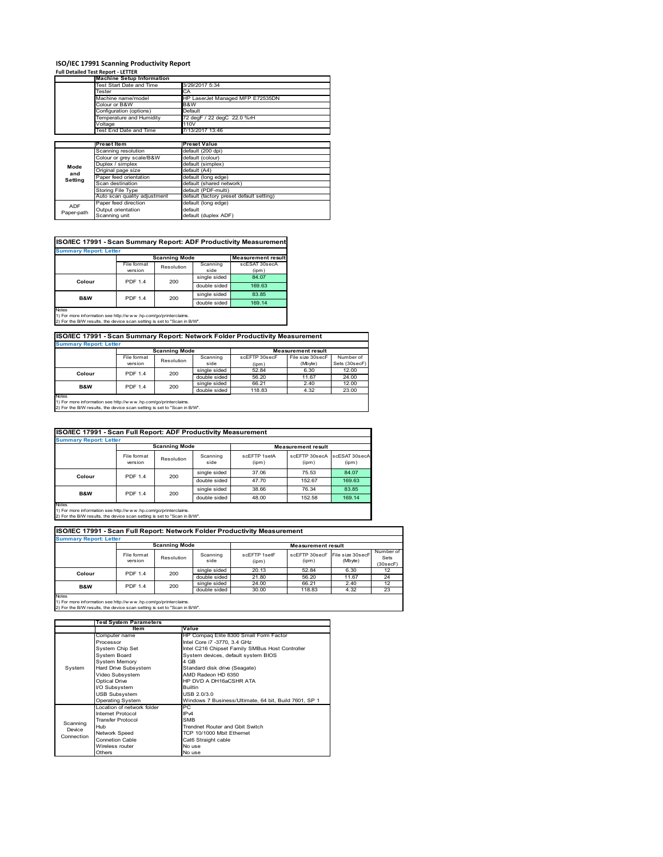# **ISO/IEC 17991 Scanning Productivity Report Full Detailed Test Report ‐ LETTER Machine Setup Information**

|            | <b>Machine Setup Information</b> |                                          |  |  |  |  |
|------------|----------------------------------|------------------------------------------|--|--|--|--|
|            | Test Start Date and Time         | 3/29/2017 5:34                           |  |  |  |  |
|            | Tester                           | CA                                       |  |  |  |  |
|            | Machine name/model               | HP LaserJet Managed MFP E72535DN         |  |  |  |  |
|            | Colour or B&W                    | B&W                                      |  |  |  |  |
|            | Configuration (options)          | Default                                  |  |  |  |  |
|            | Temperature and Humidity         | 72 degF / 22 degC 22.0 %rH               |  |  |  |  |
|            | Voltage                          | 110V                                     |  |  |  |  |
|            | Test End Date and Time           | 7/13/2017 13:46                          |  |  |  |  |
|            |                                  |                                          |  |  |  |  |
|            | Preset Item                      | <b>Preset Value</b>                      |  |  |  |  |
|            | Scanning resolution              | default (200 dpi)                        |  |  |  |  |
|            | Colour or grey scale/B&W         | default (colour)                         |  |  |  |  |
| Mode       | Duplex / simplex                 | default (simplex)                        |  |  |  |  |
|            | Original page size               | default (A4)                             |  |  |  |  |
| and        | Paper feed orientation           | default (long edge)                      |  |  |  |  |
| Setting    | Scan destination                 | default (shared network)                 |  |  |  |  |
|            | <b>Storing File Type</b>         | default (PDF-multi)                      |  |  |  |  |
|            | Auto scan quality adjustment     | default (factory preset default setting) |  |  |  |  |
|            | Paper feed direction             | default (long edge)                      |  |  |  |  |
| <b>ADF</b> | Output orientation               | default                                  |  |  |  |  |
| Paper-path | Scanning unit                    | default (duplex ADF)                     |  |  |  |  |

| ISO/IEC 17991 - Scan Summary Report: ADF Productivity Measurement |                |                      |              |                           |  |  |  |  |
|-------------------------------------------------------------------|----------------|----------------------|--------------|---------------------------|--|--|--|--|
| <b>Summary Report: Letter</b>                                     |                |                      |              |                           |  |  |  |  |
|                                                                   |                | <b>Scanning Mode</b> |              | <b>Measurement result</b> |  |  |  |  |
|                                                                   | File format    | Resolution           | Scanning     | scESAT 30secA             |  |  |  |  |
|                                                                   | version        |                      | side         | (ipm)                     |  |  |  |  |
| Colour                                                            | <b>PDF 1.4</b> | 200                  | single sided | 84.07                     |  |  |  |  |
|                                                                   |                |                      | double sided | 169.63                    |  |  |  |  |
| <b>B&amp;W</b>                                                    | <b>PDF 1.4</b> | 200                  | single sided | 83.85                     |  |  |  |  |
|                                                                   |                |                      | double sided | 169.14                    |  |  |  |  |
| <b>Notes</b>                                                      |                |                      |              |                           |  |  |  |  |

Notes 1) For more information see http://w w w .hp.com/go/printerclaims. 2) For the B/W results, the device scan setting is set to "Scan in B/W".

**ISO/IEC 17991 - Scan Summary Report: Network Folder Productivity Measurement**

| <b>Summary Report: Letter</b> |                      |            |              |                           |                  |               |  |
|-------------------------------|----------------------|------------|--------------|---------------------------|------------------|---------------|--|
|                               | <b>Scanning Mode</b> |            |              | <b>Measurement result</b> |                  |               |  |
|                               | File format          | Resolution | Scanning     | scEFTP 30secF             | File size 30secF | Number of     |  |
|                               | version              |            | side         | (ipm)                     | (Mbyte)          | Sets (30secF) |  |
| Colour                        | <b>PDF 1.4</b>       | 200        | single sided | 52.84                     | 6.30             | 12.00         |  |
|                               |                      |            | double sided | 56.20                     | 11.67            | 24.00         |  |
| B&W                           | <b>PDF 1.4</b>       | 200        | single sided | 66.21                     | 2.40             | 12.00         |  |
|                               |                      |            | double sided | 118.83                    | 4.32             | 23.00         |  |
| Notes                         |                      |            |              |                           |                  |               |  |

┓

Notes 1) For more information see http://w w w .hp.com/go/printerclaims. 2) For the B/W results, the device scan setting is set to "Scan in B/W".

| ISO/IEC 17991 - Scan Full Report: ADF Productivity Measurement |                        |                      |                  |                       |                           |                        |  |  |
|----------------------------------------------------------------|------------------------|----------------------|------------------|-----------------------|---------------------------|------------------------|--|--|
| <b>Summary Report: Letter</b>                                  |                        |                      |                  |                       |                           |                        |  |  |
|                                                                |                        | <b>Scanning Mode</b> |                  |                       | <b>Measurement result</b> |                        |  |  |
|                                                                | File format<br>version | Resolution           | Scanning<br>side | scFFTP 1setA<br>(ipm) | scEFTP 30secA<br>(ipm)    | scESAT 30secA<br>(ipm) |  |  |
|                                                                | <b>PDF 1.4</b>         | 200                  | single sided     | 37.06                 | 75.53                     | 84.07                  |  |  |
| Colour                                                         |                        |                      | double sided     | 47.70                 | 152.67                    | 169.63                 |  |  |
| <b>B&amp;W</b>                                                 | <b>PDF 1.4</b>         |                      | single sided     | 38.66                 | 76.34                     | 83.85                  |  |  |
|                                                                |                        | 200                  | double sided     | 48.00                 | 152.58                    | 169.14                 |  |  |
| <b>Notes</b>                                                   |                        |                      |                  |                       |                           |                        |  |  |

Notes 1) For more information see http://w w w .hp.com/go/printerclaims. 2) For the B/W results, the device scan setting is set to "Scan in B/W".

| ISO/IEC 17991 - Scan Full Report: Network Folder Productivity Measurement |                        |                      |                  |                           |                        |                             |                               |  |  |
|---------------------------------------------------------------------------|------------------------|----------------------|------------------|---------------------------|------------------------|-----------------------------|-------------------------------|--|--|
| <b>Summary Report: Letter</b>                                             |                        |                      |                  |                           |                        |                             |                               |  |  |
|                                                                           |                        | <b>Scanning Mode</b> |                  | <b>Measurement result</b> |                        |                             |                               |  |  |
|                                                                           | File format<br>version | Resolution           | Scanning<br>side | scEETP 1setE<br>(ipm)     | scEFTP 30secF<br>(ipm) | File size 30secF<br>(Mbyte) | Number of<br>Sets<br>(30secF) |  |  |
| Colour                                                                    | PDF 1.4                | 200                  | single sided     | 20.13                     | 52.84                  | 6.30                        | 12                            |  |  |
|                                                                           |                        |                      | double sided     | 21.80                     | 56.20                  | 11.67                       | 24                            |  |  |
| <b>B&amp;W</b>                                                            | <b>PDF 1.4</b>         | 200                  | single sided     | 24.00                     | 66.21                  | 2.40                        | 12                            |  |  |
|                                                                           |                        | double sided         |                  | 30.00                     | 118.83                 | 4.32                        | 23                            |  |  |
| <b>Notes</b>                                                              |                        |                      |                  |                           |                        |                             |                               |  |  |

|            | <b>Test System Parameters</b> |                                                       |  |  |  |
|------------|-------------------------------|-------------------------------------------------------|--|--|--|
|            | Item                          | Value                                                 |  |  |  |
|            | Computer name                 | HP Compaq Elite 8300 Small Form Factor                |  |  |  |
|            | Processor                     | Intel Core i7 -3770, 3.4 GHz                          |  |  |  |
|            | System Chip Set               | Intel C216 Chipset Family SMBus Host Controller       |  |  |  |
|            | <b>System Board</b>           | System devices, default system BIOS                   |  |  |  |
|            | <b>System Memory</b>          | 4 GB                                                  |  |  |  |
| System     | Hard Drive Subsystem          | Standard disk drive (Seagate)                         |  |  |  |
|            | Video Subsystem               | AMD Radeon HD 6350                                    |  |  |  |
|            | <b>Optical Drive</b>          | HP DVD A DH16aCSHR ATA                                |  |  |  |
|            | I/O Subsystem                 | <b>Builtin</b>                                        |  |  |  |
|            | <b>USB Subsystem</b>          | USB 2.0/3.0                                           |  |  |  |
|            | <b>Operating System</b>       | Windows 7 Business/Ultimate, 64 bit, Build 7601, SP 1 |  |  |  |
|            | I ocation of network folder   | PC.                                                   |  |  |  |
|            | Internet Protocol             | IP <sub>v4</sub>                                      |  |  |  |
| Scanning   | <b>Transfer Protocol</b>      | <b>SMB</b>                                            |  |  |  |
| Device     | Hub                           | Trendnet Router and Gbit Switch                       |  |  |  |
| Connection | Network Speed                 | TCP 10/1000 Mbit Ethernet                             |  |  |  |
|            | <b>Connetion Cable</b>        | Cat6 Straight cable                                   |  |  |  |
|            | Wireless router               | No use                                                |  |  |  |
|            | Others                        | No use                                                |  |  |  |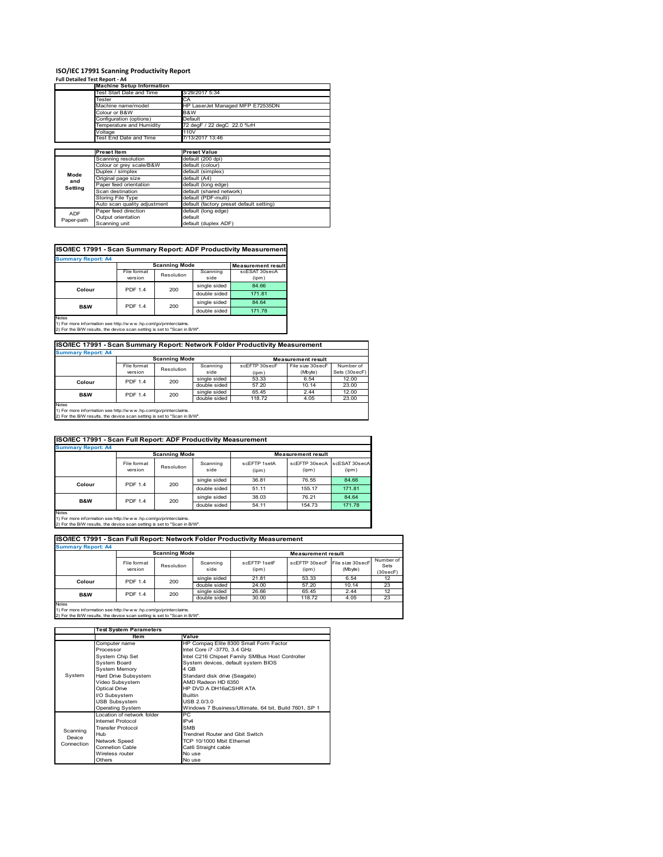# **ISO/IEC 17991 Scanning Productivity Report**

| Full Detailed Test Report - A4 |                                  |                                          |  |  |
|--------------------------------|----------------------------------|------------------------------------------|--|--|
|                                | <b>Machine Setup Information</b> |                                          |  |  |
|                                | Test Start Date and Time         | 3/29/2017 5:34                           |  |  |
|                                | Tester                           | CA                                       |  |  |
|                                | Machine name/model               | HP LaserJet Managed MFP E72535DN         |  |  |
|                                | Colour or B&W                    | B&W                                      |  |  |
|                                | Configuration (options)          | Default                                  |  |  |
|                                | Temperature and Humidity         | 72 degF / 22 degC 22.0 %rH               |  |  |
|                                | Voltage                          | 110V                                     |  |  |
|                                | Test End Date and Time           | 7/13/2017 13:46                          |  |  |
|                                |                                  |                                          |  |  |
|                                | <b>Preset Item</b>               | <b>Preset Value</b>                      |  |  |
|                                | Scanning resolution              | default (200 dpi)                        |  |  |
|                                | Colour or grey scale/B&W         | default (colour)                         |  |  |
| Mode                           | Duplex / simplex                 | default (simplex)                        |  |  |
| and                            | Original page size               | default (A4)                             |  |  |
| Setting                        | Paper feed orientation           | default (long edge)                      |  |  |
|                                | Scan destination                 | default (shared network)                 |  |  |
|                                | Storing File Type                | default (PDF-multi)                      |  |  |
|                                | Auto scan quality adjustment     | default (factory preset default setting) |  |  |
| <b>ADF</b>                     | Paper feed direction             | default (long edge)                      |  |  |
| Paper-path                     | Output orientation               | default                                  |  |  |
|                                | Scanning unit                    | default (duplex ADF)                     |  |  |

# **ISO/IEC 17991 - Scan Summary Report: ADF Productivity Measurement**

| <b>Summary Report: A4</b> |                |                      |                           |               |  |  |  |
|---------------------------|----------------|----------------------|---------------------------|---------------|--|--|--|
|                           |                | <b>Scanning Mode</b> | <b>Measurement result</b> |               |  |  |  |
|                           | File format    | Resolution           | Scanning                  | scESAT 30secA |  |  |  |
|                           | version        |                      | side                      | (ipm)         |  |  |  |
| Colour                    | <b>PDF 1.4</b> | 200                  | single sided              | 84.66         |  |  |  |
|                           |                |                      | double sided              | 171.81        |  |  |  |
| <b>B&amp;W</b>            | <b>PDF 1.4</b> | 200                  | single sided              | 84.64         |  |  |  |
|                           |                |                      | double sided              | 171.78        |  |  |  |
| <b>Notes</b>              |                |                      |                           |               |  |  |  |

1) For more information see http://w w w .hp.com/go/printerclaims. 2) For the B/W results, the device scan setting is set to "Scan in B/W".

# **ISO/IEC 17991 - Scan Summary Report: Network Folder Productivity Measurement Summary Report: A4**

| <b>BUILDIARY INCLUIL AT</b> |                      |            |              |                           |                  |               |  |
|-----------------------------|----------------------|------------|--------------|---------------------------|------------------|---------------|--|
|                             | <b>Scanning Mode</b> |            |              | <b>Measurement result</b> |                  |               |  |
|                             | File format          | Resolution | Scanning     | scEETP 30secE             | File size 30secF | Number of     |  |
|                             | version              |            | side         | (ipm)                     | (Mbyte)          | Sets (30secF) |  |
| Colour                      | <b>PDF 1.4</b>       | 200        | single sided | 53.33                     | 6.54             | 12.00         |  |
|                             |                      |            | double sided | 57.20                     | 10.14            | 23.00         |  |
| <b>B&amp;W</b>              | <b>PDF 1.4</b>       | 200        | single sided | 65.45                     | 2.44             | 12.00         |  |
|                             |                      |            | double sided | 118.72                    | 4.05             | 23.00         |  |
| <b>Notes</b>                |                      |            |              |                           |                  |               |  |

Notes 1) For more information see http://w w w .hp.com/go/printerclaims. 2) For the B/W results, the device scan setting is set to "Scan in B/W".

| ISO/IEC 17991 - Scan Full Report: ADF Productivity Measurement |                        |                      |                  |                       |                           |                        |  |  |
|----------------------------------------------------------------|------------------------|----------------------|------------------|-----------------------|---------------------------|------------------------|--|--|
| <b>Summary Report: A4</b>                                      |                        |                      |                  |                       |                           |                        |  |  |
|                                                                |                        | <b>Scanning Mode</b> |                  |                       | <b>Measurement result</b> |                        |  |  |
|                                                                | File format<br>version | Resolution           | Scanning<br>side | scFFTP 1setA<br>(ipm) | scEFTP 30secA<br>(ipm)    | scESAT 30secA<br>(ipm) |  |  |
| Colour                                                         | <b>PDF 1.4</b><br>200  |                      | single sided     | 36.81                 | 76.55                     | 84.66                  |  |  |
|                                                                |                        |                      | double sided     | 51.11                 | 155.17                    | 171.81                 |  |  |
| <b>B&amp;W</b>                                                 | <b>PDF 1.4</b>         | 200                  | single sided     | 38.03                 | 76.21                     | 84.64                  |  |  |
|                                                                |                        |                      | double sided     | 54.11                 | 154.73                    | 171.78                 |  |  |
| <b>Notes</b>                                                   |                        |                      |                  |                       |                           |                        |  |  |

Notes 1) For more information see http://w w w .hp.com/go/printerclaims. 2) For the B/W results, the device scan setting is set to "Scan in B/W".

| ISO/IEC 17991 - Scan Full Report: Network Folder Productivity Measurement |                        |            |                  |                       |                                         |         |                                |  |
|---------------------------------------------------------------------------|------------------------|------------|------------------|-----------------------|-----------------------------------------|---------|--------------------------------|--|
| <b>Summary Report: A4</b>                                                 |                        |            |                  |                       |                                         |         |                                |  |
| <b>Scanning Mode</b><br><b>Measurement result</b>                         |                        |            |                  |                       |                                         |         |                                |  |
|                                                                           | File format<br>version | Resolution | Scanning<br>side | scFFTP 1setF<br>(ipm) | scEFTP 30secF File size 30secF<br>(ipm) | (Mbyte) | Number of<br>Sets<br>(30 secF) |  |
| Colour                                                                    | <b>PDF 1.4</b>         | 200        | single sided     | 21.81                 | 53.33                                   | 6.54    | 12                             |  |
|                                                                           |                        |            | double sided     | 24.00                 | 57.20                                   | 10.14   | 23                             |  |
| <b>B&amp;W</b>                                                            | <b>PDF 1.4</b>         | 200        | single sided     | 26.66                 | 65.45                                   | 2.44    | 12                             |  |
|                                                                           |                        |            | double sided     | 30.00                 | 118.72                                  | 4.05    | 23                             |  |
| <b>Notes</b>                                                              |                        |            |                  |                       |                                         |         |                                |  |

|            | <b>Test System Parameters</b> |                                                       |  |  |
|------------|-------------------------------|-------------------------------------------------------|--|--|
|            | Item                          | Value                                                 |  |  |
|            | Computer name                 | HP Compaq Elite 8300 Small Form Factor                |  |  |
|            | Processor                     | Intel Core i7 -3770, 3.4 GHz                          |  |  |
|            | System Chip Set               | Intel C216 Chipset Family SMBus Host Controller       |  |  |
|            | <b>System Board</b>           | System devices, default system BIOS                   |  |  |
|            | <b>System Memory</b>          | 4 GB                                                  |  |  |
| System     | Hard Drive Subsystem          | Standard disk drive (Seagate)                         |  |  |
|            | Video Subsystem               | AMD Radeon HD 6350                                    |  |  |
|            | <b>Optical Drive</b>          | HP DVD A DH16aCSHR ATA                                |  |  |
|            | I/O Subsystem                 | <b>Builtin</b>                                        |  |  |
|            | <b>USB Subsystem</b>          | USB 2.0/3.0                                           |  |  |
|            | <b>Operating System</b>       | Windows 7 Business/Ultimate, 64 bit, Build 7601, SP 1 |  |  |
|            | I ocation of network folder   | РC                                                    |  |  |
|            | Internet Protocol             | IP <sub>v4</sub>                                      |  |  |
| Scanning   | <b>Transfer Protocol</b>      | <b>SMB</b>                                            |  |  |
| Device     | Hub                           | Trendnet Router and Gbit Switch                       |  |  |
| Connection | Network Speed                 | TCP 10/1000 Mbit Ethernet                             |  |  |
|            | Connetion Cable               | Cat6 Straight cable                                   |  |  |
|            | Wireless router               | No use                                                |  |  |
|            | Others                        | No use                                                |  |  |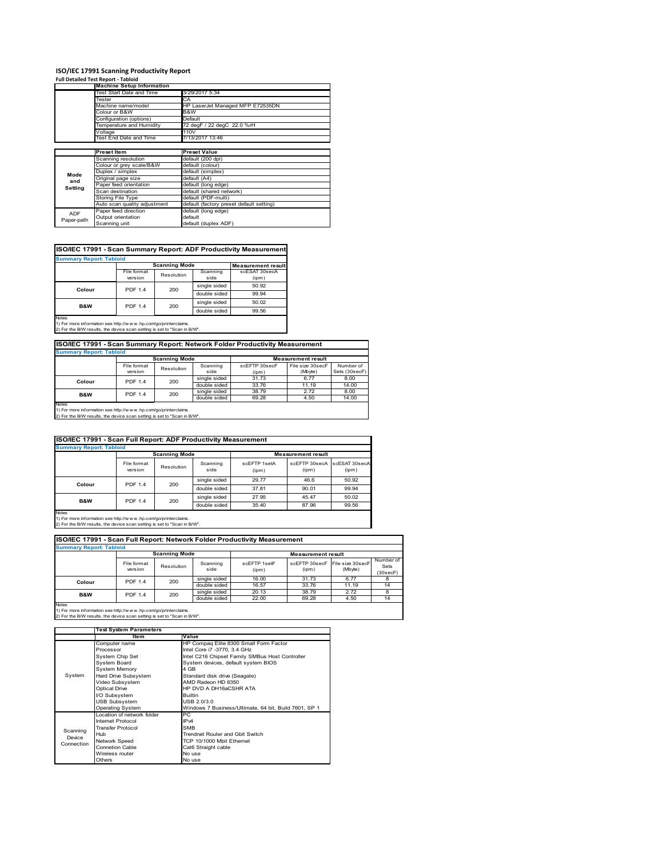#### **ISO/IEC 17991 Scanning Productivity Report Full Detailed Test Report ‐ Tabloid**

|            | <u>ruli Detaileu Test Report - Tabloiu</u> |                                          |
|------------|--------------------------------------------|------------------------------------------|
|            | <b>Machine Setup Information</b>           |                                          |
|            | Test Start Date and Time                   | 3/29/2017 5:34                           |
|            | Tester                                     | CA                                       |
|            | Machine name/model                         | HP LaserJet Managed MFP E72535DN         |
|            | Colour or B&W                              | B&W                                      |
|            | Configuration (options)                    | Default                                  |
|            | Femperature and Humidity                   | 72 degF / 22 degC 22.0 %rH               |
|            | Voltage                                    | 110V                                     |
|            | Test End Date and Time                     | 7/13/2017 13:46                          |
|            |                                            |                                          |
|            | <b>Preset Item</b>                         | <b>Preset Value</b>                      |
|            | Scanning resolution                        | default (200 dpi)                        |
|            | Colour or grey scale/B&W                   | default (colour)                         |
| Mode       | Duplex / simplex                           | default (simplex)                        |
| and        | Original page size                         | default (A4)                             |
| Setting    | Paper feed orientation                     | default (long edge)                      |
|            | Scan destination                           | default (shared network)                 |
|            | Storing File Type                          | default (PDF-multi)                      |
|            | Auto scan quality adjustment               | default (factory preset default setting) |
| <b>ADF</b> | Paper feed direction                       | default (long edge)                      |
| Paper-path | Output orientation                         | default                                  |
|            | Scanning unit                              | default (duplex ADF)                     |

# **ISO/IEC 17991 - Scan Summary Report: ADF Productivity Measurement**

| <b>Summary Report: Tabloid</b> |                        |                      |                  |                           |  |  |
|--------------------------------|------------------------|----------------------|------------------|---------------------------|--|--|
|                                |                        | <b>Scanning Mode</b> |                  | <b>Measurement result</b> |  |  |
|                                | File format<br>version | Resolution           | Scanning<br>side | scESAT 30secA<br>(ipm)    |  |  |
| Colour                         | <b>PDF 1.4</b>         | 200                  | single sided     | 50.92                     |  |  |
|                                |                        |                      | double sided     | 99.94                     |  |  |
| <b>B&amp;W</b>                 | <b>PDF 1.4</b>         | 200                  | single sided     | 50.02                     |  |  |
|                                |                        |                      | double sided     | 99.56                     |  |  |
| <b>Notes</b>                   |                        |                      |                  |                           |  |  |

Notes 1) For more information see http://w w w .hp.com/go/printerclaims. 2) For the B/W results, the device scan setting is set to "Scan in B/W".

# **ISO/IEC 17991 - Scan Summary Report: Network Folder Productivity Measurement**

| <b>Summary Report: Tabloid</b> |                           |     |              |                           |                  |               |  |
|--------------------------------|---------------------------|-----|--------------|---------------------------|------------------|---------------|--|
|                                | <b>Scanning Mode</b>      |     |              | <b>Measurement result</b> |                  |               |  |
|                                | File format<br>Resolution |     | Scanning     | scEFTP 30secF             | File size 30secF | Number of     |  |
|                                | version                   |     | side         | (ipm)                     | (Mbyte)          | Sets (30secF) |  |
| Colour                         | <b>PDF 1.4</b>            | 200 | single sided | 31.73                     | 6.77             | 8.00          |  |
|                                |                           |     | double sided | 33.76                     | 11.19            | 14.00         |  |
| <b>B&amp;W</b>                 | <b>PDF 1.4</b>            | 200 | single sided | 38.79                     | 2.72             | 8.00          |  |
|                                |                           |     | double sided | 69.28                     | 4.50             | 14.00         |  |
| Notes                          |                           |     |              |                           |                  |               |  |

Notes 1) For more information see http://w w w .hp.com/go/printerclaims. 2) For the B/W results, the device scan setting is set to "Scan in B/W".

| <b>ISO/IEC 17991 - Scan Full Report: ADF Productivity Measurement</b> |                                |                      |                  |                       |                                      |       |  |  |  |
|-----------------------------------------------------------------------|--------------------------------|----------------------|------------------|-----------------------|--------------------------------------|-------|--|--|--|
|                                                                       | <b>Summary Report: Tabloid</b> |                      |                  |                       |                                      |       |  |  |  |
|                                                                       |                                | <b>Scanning Mode</b> |                  |                       | <b>Measurement result</b>            |       |  |  |  |
|                                                                       | File format<br>version         | Resolution           | Scanning<br>side | scFFTP 1setA<br>(ipm) | scEFTP 30secA scESAT 30secA<br>(ipm) | (ipm) |  |  |  |
| Colour                                                                | <b>PDF 1.4</b>                 | 200                  | single sided     | 29.77                 | 46.6                                 | 50.92 |  |  |  |
|                                                                       |                                |                      | double sided     | 37.81                 | 90.01                                | 99.94 |  |  |  |
| <b>B&amp;W</b>                                                        | <b>PDF 1.4</b>                 | 200                  | single sided     | 27.95                 | 45.47                                | 50.02 |  |  |  |
|                                                                       |                                |                      | double sided     | 35.40                 | 87.96                                | 99.56 |  |  |  |
| Notes                                                                 |                                |                      |                  |                       |                                      |       |  |  |  |

Notes 1) For more information see http://w w w .hp.com/go/printerclaims. 2) For the B/W results, the device scan setting is set to "Scan in B/W".

| ISO/IEC 17991 - Scan Full Report: Network Folder Productivity Measurement |                                                   |            |                  |                       |                                         |         |                               |  |
|---------------------------------------------------------------------------|---------------------------------------------------|------------|------------------|-----------------------|-----------------------------------------|---------|-------------------------------|--|
| <b>Summary Report: Tabloid</b>                                            |                                                   |            |                  |                       |                                         |         |                               |  |
|                                                                           | <b>Scanning Mode</b><br><b>Measurement result</b> |            |                  |                       |                                         |         |                               |  |
|                                                                           | File format<br>version                            | Resolution | Scanning<br>side | scFFTP 1setF<br>(ipm) | scEFTP 30secF File size 30secF<br>(ipm) | (Mbyte) | Number of<br>Sets<br>(30secF) |  |
| Colour                                                                    | <b>PDF 1.4</b>                                    | 200        | single sided     | 16.00                 | 31.73                                   | 6.77    | 8                             |  |
|                                                                           |                                                   |            | double sided     | 16.57                 | 33.76                                   | 11.19   | 14                            |  |
| <b>B&amp;W</b>                                                            | <b>PDF 1.4</b>                                    | 200        | single sided     | 20.13                 | 38.79                                   | 2.72    | 8                             |  |
|                                                                           |                                                   |            | double sided     | 22.00                 | 69.28                                   | 4.50    | 14                            |  |
| <b>Notes</b>                                                              |                                                   |            |                  |                       |                                         |         |                               |  |

|            | <b>Test System Parameters</b> |                                                       |  |  |
|------------|-------------------------------|-------------------------------------------------------|--|--|
|            | Item                          | Value                                                 |  |  |
|            | Computer name                 | HP Compaq Elite 8300 Small Form Factor                |  |  |
|            | Processor                     | Intel Core i7 -3770, 3.4 GHz                          |  |  |
|            | <b>System Chip Set</b>        | Intel C216 Chipset Family SMBus Host Controller       |  |  |
|            | <b>System Board</b>           | System devices, default system BIOS                   |  |  |
|            | <b>System Memory</b>          | 4 GB                                                  |  |  |
| System     | Hard Drive Subsystem          | Standard disk drive (Seagate)                         |  |  |
|            | Video Subsystem               | AMD Radeon HD 6350                                    |  |  |
|            | <b>Optical Drive</b>          | HP DVD A DH16aCSHR ATA                                |  |  |
|            | I/O Subsystem                 | <b>Builtin</b>                                        |  |  |
|            | <b>USB Subsystem</b>          | USB 2.0/3.0                                           |  |  |
|            | Operating System              | Windows 7 Business/Ultimate, 64 bit, Build 7601, SP 1 |  |  |
|            | Location of network folder    | РC                                                    |  |  |
|            | Internet Protocol             | IP <sub>v4</sub>                                      |  |  |
| Scanning   | <b>Transfer Protocol</b>      | <b>SMB</b>                                            |  |  |
| Device     | Hub                           | Trendnet Router and Gbit Switch                       |  |  |
| Connection | Network Speed                 | TCP 10/1000 Mbit Ethernet                             |  |  |
|            | <b>Connetion Cable</b>        | Cat6 Straight cable                                   |  |  |
|            | Wireless router               | No use                                                |  |  |
|            | Others                        | No use                                                |  |  |